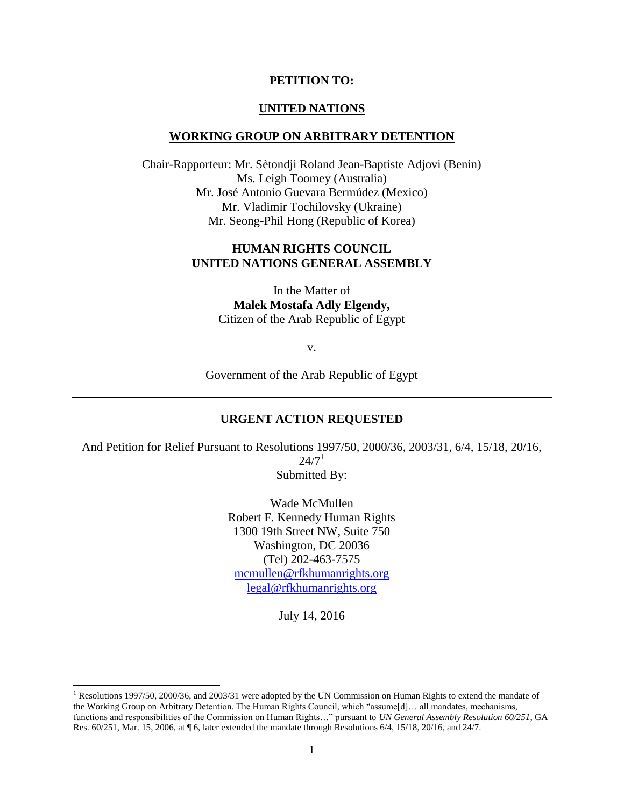#### **PETITION TO:**

#### **UNITED NATIONS**

#### **WORKING GROUP ON ARBITRARY DETENTION**

Chair-Rapporteur: Mr. Sètondji Roland Jean-Baptiste Adjovi (Benin) Ms. Leigh Toomey (Australia) Mr. José Antonio Guevara Bermúdez (Mexico) Mr. Vladimir Tochilovsky (Ukraine) Mr. Seong-Phil Hong (Republic of Korea)

#### **HUMAN RIGHTS COUNCIL UNITED NATIONS GENERAL ASSEMBLY**

In the Matter of **Malek Mostafa Adly Elgendy,** Citizen of the Arab Republic of Egypt

v.

Government of the Arab Republic of Egypt

#### **URGENT ACTION REQUESTED**

And Petition for Relief Pursuant to Resolutions 1997/50, 2000/36, 2003/31, 6/4, 15/18, 20/16,  $24/7<sup>1</sup>$ Submitted By:

> Wade McMullen Robert F. Kennedy Human Rights 1300 19th Street NW, Suite 750 Washington, DC 20036 (Tel) 202-463-7575 [mcmullen@rfkhumanrights.org](mailto:mcmullen@rfkhumanrights.org) legal@rfkhumanrights.org

> > July 14, 2016

<sup>&</sup>lt;sup>1</sup> Resolutions 1997/50, 2000/36, and 2003/31 were adopted by the UN Commission on Human Rights to extend the mandate of the Working Group on Arbitrary Detention. The Human Rights Council, which "assume[d]… all mandates, mechanisms, functions and responsibilities of the Commission on Human Rights…" pursuant to *UN General Assembly Resolution 60/251*, GA Res. 60/251, Mar. 15, 2006, at ¶ 6, later extended the mandate through Resolutions 6/4, 15/18, 20/16, and 24/7.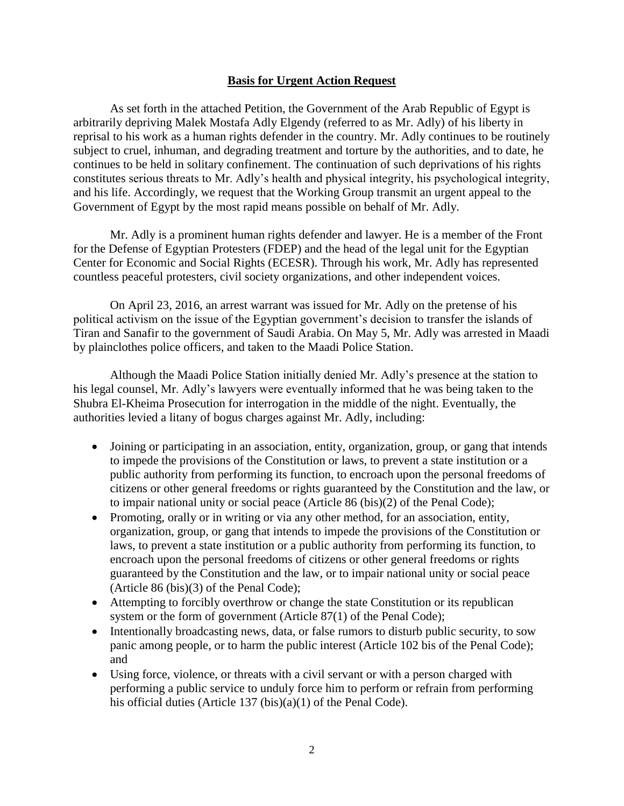## **Basis for Urgent Action Request**

As set forth in the attached Petition, the Government of the Arab Republic of Egypt is arbitrarily depriving Malek Mostafa Adly Elgendy (referred to as Mr. Adly) of his liberty in reprisal to his work as a human rights defender in the country. Mr. Adly continues to be routinely subject to cruel, inhuman, and degrading treatment and torture by the authorities, and to date, he continues to be held in solitary confinement. The continuation of such deprivations of his rights constitutes serious threats to Mr. Adly's health and physical integrity, his psychological integrity, and his life. Accordingly, we request that the Working Group transmit an urgent appeal to the Government of Egypt by the most rapid means possible on behalf of Mr. Adly.

Mr. Adly is a prominent human rights defender and lawyer. He is a member of the Front for the Defense of Egyptian Protesters (FDEP) and the head of the legal unit for the Egyptian Center for Economic and Social Rights (ECESR). Through his work, Mr. Adly has represented countless peaceful protesters, civil society organizations, and other independent voices.

On April 23, 2016, an arrest warrant was issued for Mr. Adly on the pretense of his political activism on the issue of the Egyptian government's decision to transfer the islands of Tiran and Sanafir to the government of Saudi Arabia. On May 5, Mr. Adly was arrested in Maadi by plainclothes police officers, and taken to the Maadi Police Station.

Although the Maadi Police Station initially denied Mr. Adly's presence at the station to his legal counsel, Mr. Adly's lawyers were eventually informed that he was being taken to the Shubra El-Kheima Prosecution for interrogation in the middle of the night. Eventually, the authorities levied a litany of bogus charges against Mr. Adly, including:

- Joining or participating in an association, entity, organization, group, or gang that intends to impede the provisions of the Constitution or laws, to prevent a state institution or a public authority from performing its function, to encroach upon the personal freedoms of citizens or other general freedoms or rights guaranteed by the Constitution and the law, or to impair national unity or social peace (Article 86 (bis)(2) of the Penal Code);
- Promoting, orally or in writing or via any other method, for an association, entity, organization, group, or gang that intends to impede the provisions of the Constitution or laws, to prevent a state institution or a public authority from performing its function, to encroach upon the personal freedoms of citizens or other general freedoms or rights guaranteed by the Constitution and the law, or to impair national unity or social peace (Article 86 (bis)(3) of the Penal Code);
- Attempting to forcibly overthrow or change the state Constitution or its republican system or the form of government (Article 87(1) of the Penal Code);
- Intentionally broadcasting news, data, or false rumors to disturb public security, to sow panic among people, or to harm the public interest (Article 102 bis of the Penal Code); and
- Using force, violence, or threats with a civil servant or with a person charged with performing a public service to unduly force him to perform or refrain from performing his official duties (Article 137 (bis)(a)(1) of the Penal Code).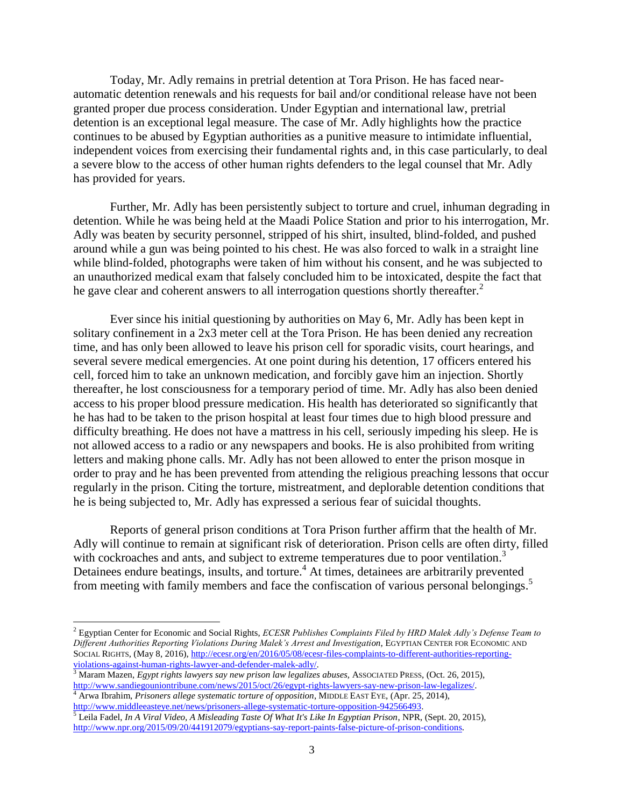Today, Mr. Adly remains in pretrial detention at Tora Prison. He has faced nearautomatic detention renewals and his requests for bail and/or conditional release have not been granted proper due process consideration. Under Egyptian and international law, pretrial detention is an exceptional legal measure. The case of Mr. Adly highlights how the practice continues to be abused by Egyptian authorities as a punitive measure to intimidate influential, independent voices from exercising their fundamental rights and, in this case particularly, to deal a severe blow to the access of other human rights defenders to the legal counsel that Mr. Adly has provided for years.

Further, Mr. Adly has been persistently subject to torture and cruel, inhuman degrading in detention. While he was being held at the Maadi Police Station and prior to his interrogation, Mr. Adly was beaten by security personnel, stripped of his shirt, insulted, blind-folded, and pushed around while a gun was being pointed to his chest. He was also forced to walk in a straight line while blind-folded, photographs were taken of him without his consent, and he was subjected to an unauthorized medical exam that falsely concluded him to be intoxicated, despite the fact that he gave clear and coherent answers to all interrogation questions shortly thereafter.<sup>2</sup>

Ever since his initial questioning by authorities on May 6, Mr. Adly has been kept in solitary confinement in a 2x3 meter cell at the Tora Prison. He has been denied any recreation time, and has only been allowed to leave his prison cell for sporadic visits, court hearings, and several severe medical emergencies. At one point during his detention, 17 officers entered his cell, forced him to take an unknown medication, and forcibly gave him an injection. Shortly thereafter, he lost consciousness for a temporary period of time. Mr. Adly has also been denied access to his proper blood pressure medication. His health has deteriorated so significantly that he has had to be taken to the prison hospital at least four times due to high blood pressure and difficulty breathing. He does not have a mattress in his cell, seriously impeding his sleep. He is not allowed access to a radio or any newspapers and books. He is also prohibited from writing letters and making phone calls. Mr. Adly has not been allowed to enter the prison mosque in order to pray and he has been prevented from attending the religious preaching lessons that occur regularly in the prison. Citing the torture, mistreatment, and deplorable detention conditions that he is being subjected to, Mr. Adly has expressed a serious fear of suicidal thoughts.

Reports of general prison conditions at Tora Prison further affirm that the health of Mr. Adly will continue to remain at significant risk of deterioration. Prison cells are often dirty, filled with cockroaches and ants, and subject to extreme temperatures due to poor ventilation.<sup>3</sup> Detainees endure beatings, insults, and torture.<sup>4</sup> At times, detainees are arbitrarily prevented from meeting with family members and face the confiscation of various personal belongings. 5

<sup>2</sup> Egyptian Center for Economic and Social Rights, *ECESR Publishes Complaints Filed by HRD Malek Adly's Defense Team to Different Authorities Reporting Violations During Malek's Arrest and Investigation*, EGYPTIAN CENTER FOR ECONOMIC AND SOCIAL RIGHTS, (May 8, 2016)[, http://ecesr.org/en/2016/05/08/ecesr-files-complaints-to-different-authorities-reporting](http://ecesr.org/en/2016/05/08/ecesr-files-complaints-to-different-authorities-reporting-violations-against-human-rights-lawyer-and-defender-malek-adly/)[violations-against-human-rights-lawyer-and-defender-malek-adly/.](http://ecesr.org/en/2016/05/08/ecesr-files-complaints-to-different-authorities-reporting-violations-against-human-rights-lawyer-and-defender-malek-adly/)

<sup>&</sup>lt;sup>3</sup> Maram Mazen, *Egypt rights lawyers say new prison law legalizes abuses*, ASSOCIATED PRESS, (Oct. 26, 2015), [http://www.sandiegouniontribune.com/news/2015/oct/26/egypt-rights-lawyers-say-new-prison-law-legalizes/.](http://www.sandiegouniontribune.com/news/2015/oct/26/egypt-rights-lawyers-say-new-prison-law-legalizes/)

<sup>4</sup> Arwa Ibrahim, *Prisoners allege systematic torture of opposition*, MIDDLE EAST EYE, (Apr. 25, 2014), [http://www.middleeasteye.net/news/prisoners-allege-systematic-torture-opposition-942566493.](http://www.middleeasteye.net/news/prisoners-allege-systematic-torture-opposition-942566493) 

<sup>5</sup> Leila Fadel, *In A Viral Video, A Misleading Taste Of What It's Like In Egyptian Prison*, NPR, (Sept. 20, 2015), [http://www.npr.org/2015/09/20/441912079/egyptians-say-report-paints-false-picture-of-prison-conditions.](http://www.npr.org/2015/09/20/441912079/egyptians-say-report-paints-false-picture-of-prison-conditions)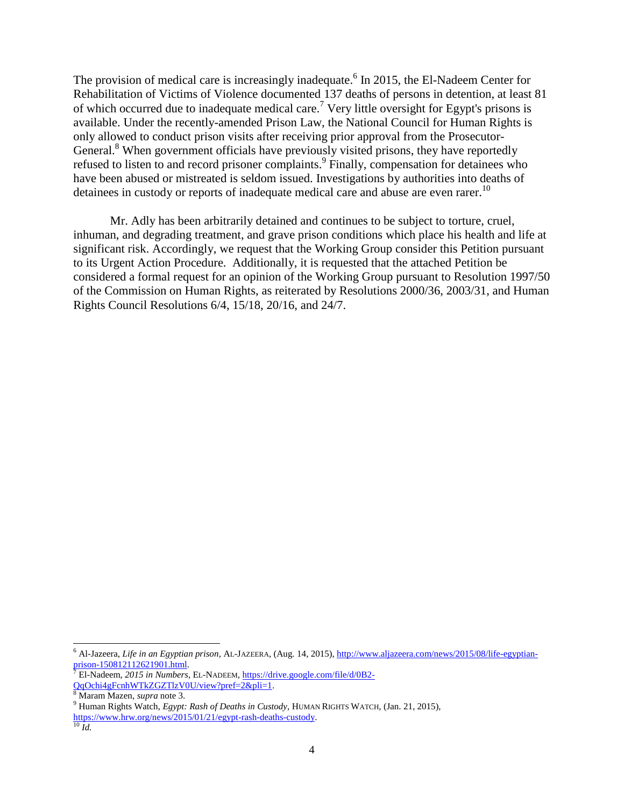The provision of medical care is increasingly inadequate.<sup>6</sup> In 2015, the El-Nadeem Center for Rehabilitation of Victims of Violence documented 137 deaths of persons in detention, at least 81 of which occurred due to inadequate medical care.<sup>7</sup> Very little oversight for Egypt's prisons is available. Under the recently-amended Prison Law, the National Council for Human Rights is only allowed to conduct prison visits after receiving prior approval from the Prosecutor-General.<sup>8</sup> When government officials have previously visited prisons, they have reportedly refused to listen to and record prisoner complaints.<sup>9</sup> Finally, compensation for detainees who have been abused or mistreated is seldom issued. Investigations by authorities into deaths of detainees in custody or reports of inadequate medical care and abuse are even rarer.<sup>10</sup>

Mr. Adly has been arbitrarily detained and continues to be subject to torture, cruel, inhuman, and degrading treatment, and grave prison conditions which place his health and life at significant risk. Accordingly, we request that the Working Group consider this Petition pursuant to its Urgent Action Procedure. Additionally, it is requested that the attached Petition be considered a formal request for an opinion of the Working Group pursuant to Resolution 1997/50 of the Commission on Human Rights, as reiterated by Resolutions 2000/36, 2003/31, and Human Rights Council Resolutions 6/4, 15/18, 20/16, and 24/7.

 $\overline{^{10}$  *Id.* 

<sup>6</sup> Al-Jazeera, *Life in an Egyptian prison*, AL-JAZEERA, (Aug. 14, 2015)[, http://www.aljazeera.com/news/2015/08/life-egyptian](http://www.aljazeera.com/news/2015/08/life-egyptian-prison-150812112621901.html)[prison-150812112621901.html.](http://www.aljazeera.com/news/2015/08/life-egyptian-prison-150812112621901.html)

<sup>7</sup> El-Nadeem, *2015 in Numbers*, EL-NADEEM, [https://drive.google.com/file/d/0B2-](https://drive.google.com/file/d/0B2-QqOchi4gFcnhWTkZGZTlzV0U/view?pref=2&pli=1) [QqOchi4gFcnhWTkZGZTlzV0U/view?pref=2&pli=1.](https://drive.google.com/file/d/0B2-QqOchi4gFcnhWTkZGZTlzV0U/view?pref=2&pli=1)

<sup>8</sup> Maram Mazen, *supra* note 3.

<sup>9</sup> Human Rights Watch, *Egypt: Rash of Deaths in Custody*, HUMAN RIGHTS WATCH, (Jan. 21, 2015), [https://www.hrw.org/news/2015/01/21/egypt-rash-deaths-custody.](https://www.hrw.org/news/2015/01/21/egypt-rash-deaths-custody)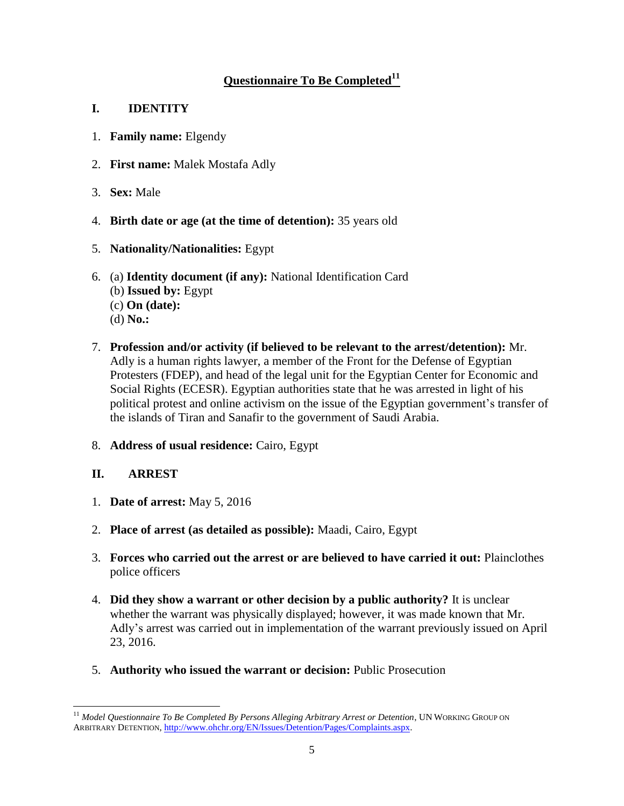# **Questionnaire To Be Completed<sup>11</sup>**

# **I. IDENTITY**

- 1. **Family name:** Elgendy
- 2. **First name:** Malek Mostafa Adly
- 3. **Sex:** Male
- 4. **Birth date or age (at the time of detention):** 35 years old
- 5. **Nationality/Nationalities:** Egypt
- 6. (a) **Identity document (if any):** National Identification Card (b) **Issued by:** Egypt (c) **On (date):** (d) **No.:**
- 7. **Profession and/or activity (if believed to be relevant to the arrest/detention):** Mr. Adly is a human rights lawyer, a member of the Front for the Defense of Egyptian Protesters (FDEP), and head of the legal unit for the Egyptian Center for Economic and Social Rights (ECESR). Egyptian authorities state that he was arrested in light of his political protest and online activism on the issue of the Egyptian government's transfer of the islands of Tiran and Sanafir to the government of Saudi Arabia.
- 8. **Address of usual residence:** Cairo, Egypt

# **II. ARREST**

- 1. **Date of arrest:** May 5, 2016
- 2. **Place of arrest (as detailed as possible):** Maadi, Cairo, Egypt
- 3. **Forces who carried out the arrest or are believed to have carried it out:** Plainclothes police officers
- 4. **Did they show a warrant or other decision by a public authority?** It is unclear whether the warrant was physically displayed; however, it was made known that Mr. Adly's arrest was carried out in implementation of the warrant previously issued on April 23, 2016.
- 5. **Authority who issued the warrant or decision:** Public Prosecution

<sup>11</sup> *Model Questionnaire To Be Completed By Persons Alleging Arbitrary Arrest or Detention*, UN WORKING GROUP ON ARBITRARY DETENTION, [http://www.ohchr.org/EN/Issues/Detention/Pages/Complaints.aspx.](http://www.ohchr.org/EN/Issues/Detention/Pages/Complaints.aspx)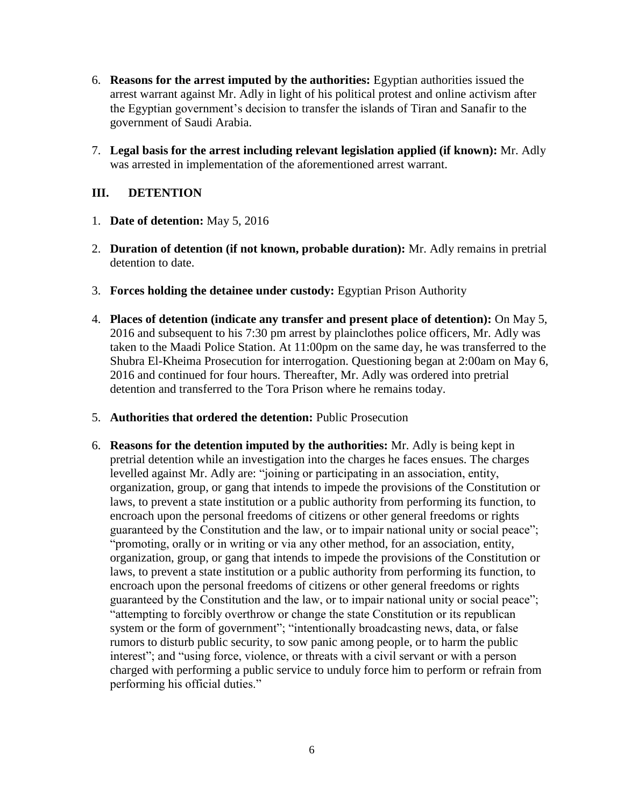- 6. **Reasons for the arrest imputed by the authorities:** Egyptian authorities issued the arrest warrant against Mr. Adly in light of his political protest and online activism after the Egyptian government's decision to transfer the islands of Tiran and Sanafir to the government of Saudi Arabia.
- 7. **Legal basis for the arrest including relevant legislation applied (if known):** Mr. Adly was arrested in implementation of the aforementioned arrest warrant.

# **III. DETENTION**

- 1. **Date of detention:** May 5, 2016
- 2. **Duration of detention (if not known, probable duration):** Mr. Adly remains in pretrial detention to date.
- 3. **Forces holding the detainee under custody:** Egyptian Prison Authority
- 4. **Places of detention (indicate any transfer and present place of detention):** On May 5, 2016 and subsequent to his 7:30 pm arrest by plainclothes police officers, Mr. Adly was taken to the Maadi Police Station. At 11:00pm on the same day, he was transferred to the Shubra El-Kheima Prosecution for interrogation. Questioning began at 2:00am on May 6, 2016 and continued for four hours. Thereafter, Mr. Adly was ordered into pretrial detention and transferred to the Tora Prison where he remains today.
- 5. **Authorities that ordered the detention:** Public Prosecution
- 6. **Reasons for the detention imputed by the authorities:** Mr. Adly is being kept in pretrial detention while an investigation into the charges he faces ensues. The charges levelled against Mr. Adly are: "joining or participating in an association, entity, organization, group, or gang that intends to impede the provisions of the Constitution or laws, to prevent a state institution or a public authority from performing its function, to encroach upon the personal freedoms of citizens or other general freedoms or rights guaranteed by the Constitution and the law, or to impair national unity or social peace"; "promoting, orally or in writing or via any other method, for an association, entity, organization, group, or gang that intends to impede the provisions of the Constitution or laws, to prevent a state institution or a public authority from performing its function, to encroach upon the personal freedoms of citizens or other general freedoms or rights guaranteed by the Constitution and the law, or to impair national unity or social peace"; "attempting to forcibly overthrow or change the state Constitution or its republican system or the form of government"; "intentionally broadcasting news, data, or false rumors to disturb public security, to sow panic among people, or to harm the public interest"; and "using force, violence, or threats with a civil servant or with a person charged with performing a public service to unduly force him to perform or refrain from performing his official duties."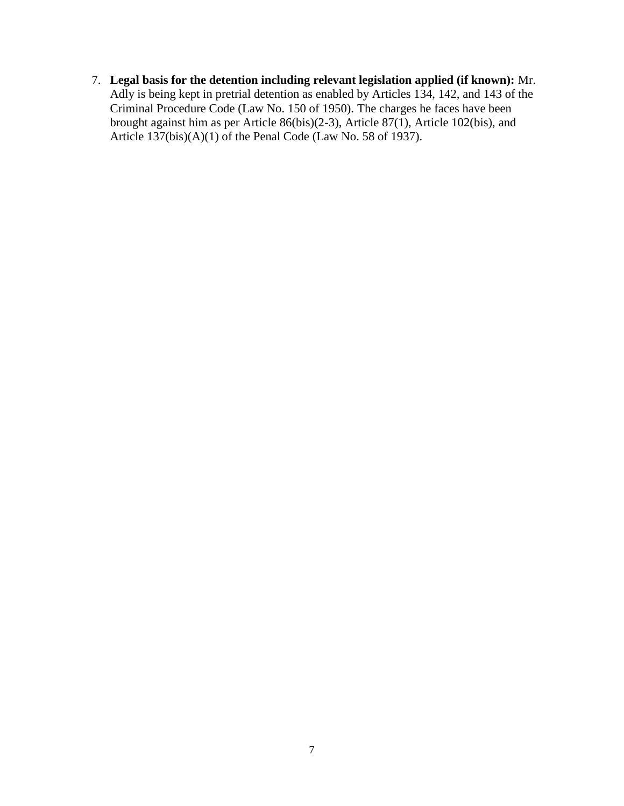7. **Legal basis for the detention including relevant legislation applied (if known):** Mr. Adly is being kept in pretrial detention as enabled by Articles 134, 142, and 143 of the Criminal Procedure Code (Law No. 150 of 1950). The charges he faces have been brought against him as per Article 86(bis)(2-3), Article 87(1), Article 102(bis), and Article 137(bis)(A)(1) of the Penal Code (Law No. 58 of 1937).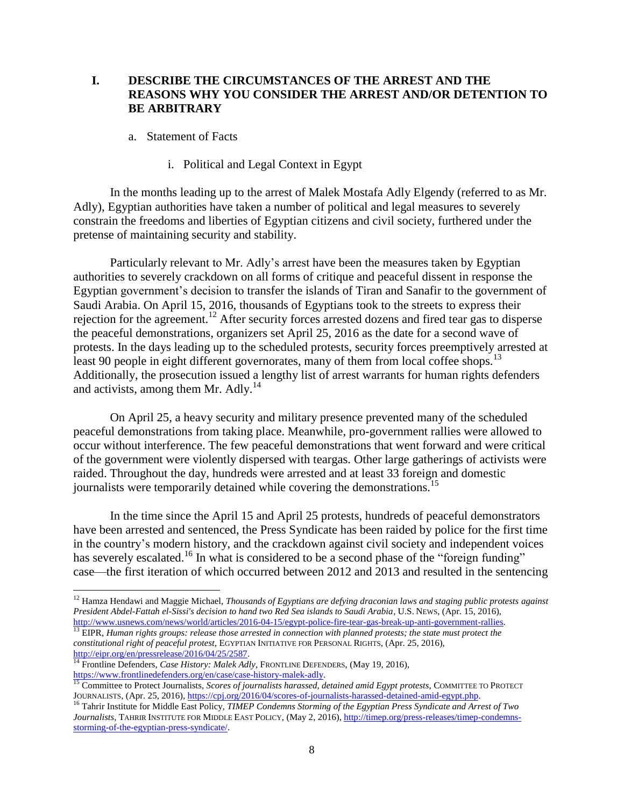## **I. DESCRIBE THE CIRCUMSTANCES OF THE ARREST AND THE REASONS WHY YOU CONSIDER THE ARREST AND/OR DETENTION TO BE ARBITRARY**

- a. Statement of Facts
	- i. Political and Legal Context in Egypt

In the months leading up to the arrest of Malek Mostafa Adly Elgendy (referred to as Mr. Adly), Egyptian authorities have taken a number of political and legal measures to severely constrain the freedoms and liberties of Egyptian citizens and civil society, furthered under the pretense of maintaining security and stability.

Particularly relevant to Mr. Adly's arrest have been the measures taken by Egyptian authorities to severely crackdown on all forms of critique and peaceful dissent in response the Egyptian government's decision to transfer the islands of Tiran and Sanafir to the government of Saudi Arabia. On April 15, 2016, thousands of Egyptians took to the streets to express their rejection for the agreement.<sup>12</sup> After security forces arrested dozens and fired tear gas to disperse the peaceful demonstrations, organizers set April 25, 2016 as the date for a second wave of protests. In the days leading up to the scheduled protests, security forces preemptively arrested at least 90 people in eight different governorates, many of them from local coffee shops.<sup>13</sup> Additionally, the prosecution issued a lengthy list of arrest warrants for human rights defenders and activists, among them Mr. Adly.<sup>14</sup>

On April 25, a heavy security and military presence prevented many of the scheduled peaceful demonstrations from taking place. Meanwhile, pro-government rallies were allowed to occur without interference. The few peaceful demonstrations that went forward and were critical of the government were violently dispersed with teargas. Other large gatherings of activists were raided. Throughout the day, hundreds were arrested and at least 33 foreign and domestic journalists were temporarily detained while covering the demonstrations.<sup>15</sup>

In the time since the April 15 and April 25 protests, hundreds of peaceful demonstrators have been arrested and sentenced, the Press Syndicate has been raided by police for the first time in the country's modern history, and the crackdown against civil society and independent voices has severely escalated.<sup>16</sup> In what is considered to be a second phase of the "foreign funding" case—the first iteration of which occurred between 2012 and 2013 and resulted in the sentencing

<sup>12</sup> Hamza Hendawi and Maggie Michael, *Thousands of Egyptians are defying draconian laws and staging public protests against President Abdel-Fattah el-Sissi's decision to hand two Red Sea islands to Saudi Arabia*, U.S. NEWS, (Apr. 15, 2016), [http://www.usnews.com/news/world/articles/2016-04-15/egypt-police-fire-tear-gas-break-up-anti-government-rallies.](http://www.usnews.com/news/world/articles/2016-04-15/egypt-police-fire-tear-gas-break-up-anti-government-rallies) <sup>13</sup> EIPR, *Human rights groups: release those arrested in connection with planned protests; the state must protect the* 

*constitutional right of peaceful protest*, EGYPTIAN INITIATIVE FOR PERSONAL RIGHTS, (Apr. 25, 2016), [http://eipr.org/en/pressrelease/2016/04/25/2587.](http://eipr.org/en/pressrelease/2016/04/25/2587)

<sup>&</sup>lt;sup>14</sup> Frontline Defenders, *Case History: Malek Adly*, FRONTLINE DEFENDERS, (May 19, 2016), [https://www.frontlinedefenders.org/en/case/case-history-malek-adly.](https://www.frontlinedefenders.org/en/case/case-history-malek-adly) 

<sup>&</sup>lt;sup>15</sup> Committee to Protect Journalists, *Scores of journalists harassed, detained amid Egypt protests*, COMMITTEE TO PROTECT JOURNALISTS, (Apr. 25, 2016), https://cpj.org/2016/04/scores-of-journalists-harassed-detained-amid-egypt.php.

<sup>16</sup> Tahrir Institute for Middle East Policy, *TIMEP Condemns Storming of the Egyptian Press Syndicate and Arrest of Two Journalists*, TAHRIR INSTITUTE FOR MIDDLE EAST POLICY, (May 2, 2016)[, http://timep.org/press-releases/timep-condemns](http://timep.org/press-releases/timep-condemns-storming-of-the-egyptian-press-syndicate/)[storming-of-the-egyptian-press-syndicate/.](http://timep.org/press-releases/timep-condemns-storming-of-the-egyptian-press-syndicate/)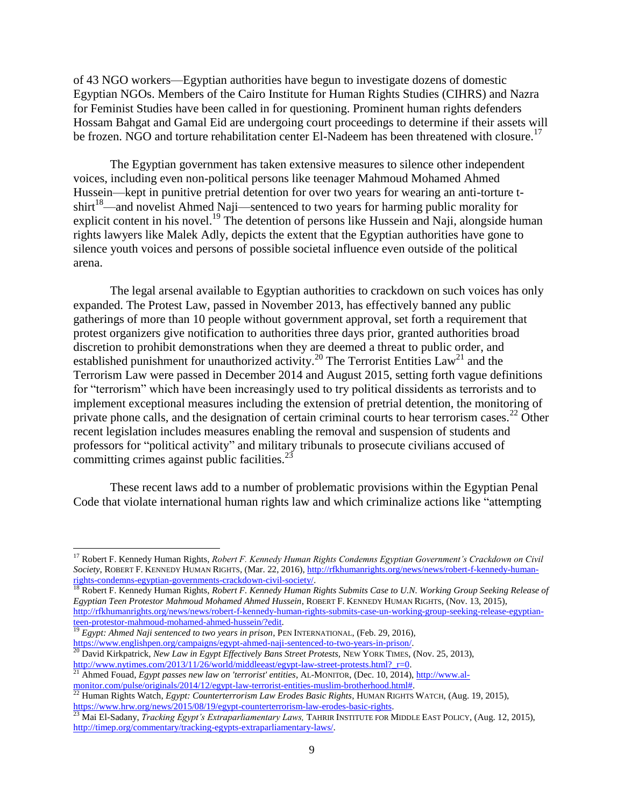of 43 NGO workers—Egyptian authorities have begun to investigate dozens of domestic Egyptian NGOs. Members of the Cairo Institute for Human Rights Studies (CIHRS) and Nazra for Feminist Studies have been called in for questioning. Prominent human rights defenders Hossam Bahgat and Gamal Eid are undergoing court proceedings to determine if their assets will be frozen. NGO and torture rehabilitation center El-Nadeem has been threatened with closure.<sup>17</sup>

The Egyptian government has taken extensive measures to silence other independent voices, including even non-political persons like teenager Mahmoud Mohamed Ahmed Hussein—kept in punitive pretrial detention for over two years for wearing an anti-torture t- $\sinh^{-18}$ —and novelist Ahmed Naji—sentenced to two years for harming public morality for explicit content in his novel.<sup>19</sup> The detention of persons like Hussein and Naji, alongside human rights lawyers like Malek Adly, depicts the extent that the Egyptian authorities have gone to silence youth voices and persons of possible societal influence even outside of the political arena.

The legal arsenal available to Egyptian authorities to crackdown on such voices has only expanded. The Protest Law, passed in November 2013, has effectively banned any public gatherings of more than 10 people without government approval, set forth a requirement that protest organizers give notification to authorities three days prior, granted authorities broad discretion to prohibit demonstrations when they are deemed a threat to public order, and established punishment for unauthorized activity.<sup>20</sup> The Terrorist Entities Law<sup>21</sup> and the Terrorism Law were passed in December 2014 and August 2015, setting forth vague definitions for "terrorism" which have been increasingly used to try political dissidents as terrorists and to implement exceptional measures including the extension of pretrial detention, the monitoring of private phone calls, and the designation of certain criminal courts to hear terrorism cases.<sup>22</sup> Other recent legislation includes measures enabling the removal and suspension of students and professors for "political activity" and military tribunals to prosecute civilians accused of committing crimes against public facilities. $^{23}$ 

These recent laws add to a number of problematic provisions within the Egyptian Penal Code that violate international human rights law and which criminalize actions like "attempting

<sup>18</sup> Robert F. Kennedy Human Rights, *Robert F. Kennedy Human Rights Submits Case to U.N. Working Group Seeking Release of Egyptian Teen Protestor Mahmoud Mohamed Ahmed Hussein*, ROBERT F. KENNEDY HUMAN RIGHTS, (Nov. 13, 2015), [http://rfkhumanrights.org/news/news/robert-f-kennedy-human-rights-submits-case-un-working-group-seeking-release-egyptian](http://rfkhumanrights.org/news/news/robert-f-kennedy-human-rights-submits-case-un-working-group-seeking-release-egyptian-teen-protestor-mahmoud-mohamed-ahmed-hussein/?edit)[teen-protestor-mahmoud-mohamed-ahmed-hussein/?edit.](http://rfkhumanrights.org/news/news/robert-f-kennedy-human-rights-submits-case-un-working-group-seeking-release-egyptian-teen-protestor-mahmoud-mohamed-ahmed-hussein/?edit) 

<sup>17</sup> Robert F. Kennedy Human Rights, *Robert F. Kennedy Human Rights Condemns Egyptian Government's Crackdown on Civil Society*, ROBERT F. KENNEDY HUMAN RIGHTS, (Mar. 22, 2016)[, http://rfkhumanrights.org/news/news/robert-f-kennedy-human](http://rfkhumanrights.org/news/news/robert-f-kennedy-human-rights-condemns-egyptian-governments-crackdown-civil-society/)[rights-condemns-egyptian-governments-crackdown-civil-society/.](http://rfkhumanrights.org/news/news/robert-f-kennedy-human-rights-condemns-egyptian-governments-crackdown-civil-society/)

<sup>&</sup>lt;sup>19</sup> *Egypt: Ahmed Naji sentenced to two years in prison*, PEN INTERNATIONAL, (Feb. 29, 2016), [https://www.englishpen.org/campaigns/egypt-ahmed-naji-sentenced-to-two-years-in-prison/.](https://www.englishpen.org/campaigns/egypt-ahmed-naji-sentenced-to-two-years-in-prison/)

<sup>20</sup> David Kirkpatrick, *New Law in Egypt Effectively Bans Street Protests,* NEW YORK TIMES, (Nov. 25, 2013), http://www.nytimes.com/2013/11/26/world/middleeast/egypt-law-street-protests.html? r=0.

<sup>21</sup> Ahmed Fouad, *Egypt passes new law on 'terrorist' entities*, AL-MONITOR, (Dec. 10, 2014)[, http://www.al](http://www.al-monitor.com/pulse/originals/2014/12/egypt-law-terrorist-entities-muslim-brotherhood.html)[monitor.com/pulse/originals/2014/12/egypt-law-terrorist-entities-muslim-brotherhood.html#.](http://www.al-monitor.com/pulse/originals/2014/12/egypt-law-terrorist-entities-muslim-brotherhood.html)

<sup>22</sup> Human Rights Watch, *Egypt: Counterterrorism Law Erodes Basic Rights*, HUMAN RIGHTS WATCH, (Aug. 19, 2015), [https://www.hrw.org/news/2015/08/19/egypt-counterterrorism-law-erodes-basic-rights.](https://www.hrw.org/news/2015/08/19/egypt-counterterrorism-law-erodes-basic-rights) 

<sup>23</sup> Mai El-Sadany, *Tracking Egypt's Extraparliamentary Laws,* TAHRIR INSTITUTE FOR MIDDLE EAST POLICY, (Aug. 12, 2015), [http://timep.org/commentary/tracking-egypts-extraparliamentary-laws/.](http://timep.org/commentary/tracking-egypts-extraparliamentary-laws/)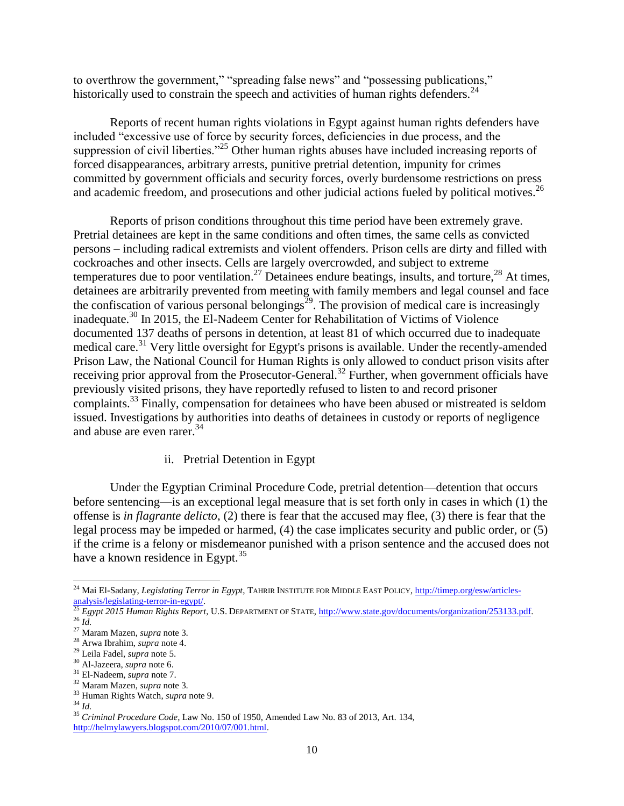to overthrow the government," "spreading false news" and "possessing publications," historically used to constrain the speech and activities of human rights defenders.<sup>24</sup>

Reports of recent human rights violations in Egypt against human rights defenders have included "excessive use of force by security forces, deficiencies in due process, and the suppression of civil liberties."<sup>25</sup> Other human rights abuses have included increasing reports of forced disappearances, arbitrary arrests, punitive pretrial detention, impunity for crimes committed by government officials and security forces, overly burdensome restrictions on press and academic freedom, and prosecutions and other judicial actions fueled by political motives.<sup>26</sup>

Reports of prison conditions throughout this time period have been extremely grave. Pretrial detainees are kept in the same conditions and often times, the same cells as convicted persons – including radical extremists and violent offenders. Prison cells are dirty and filled with cockroaches and other insects. Cells are largely overcrowded, and subject to extreme temperatures due to poor ventilation.<sup>27</sup> Detainees endure beatings, insults, and torture,<sup>28</sup> At times, detainees are arbitrarily prevented from meeting with family members and legal counsel and face the confiscation of various personal belongings<sup>29</sup>. The provision of medical care is increasingly inadequate. <sup>30</sup> In 2015, the El-Nadeem Center for Rehabilitation of Victims of Violence documented 137 deaths of persons in detention, at least 81 of which occurred due to inadequate medical care.<sup>31</sup> Very little oversight for Egypt's prisons is available. Under the recently-amended Prison Law, the National Council for Human Rights is only allowed to conduct prison visits after receiving prior approval from the Prosecutor-General.<sup>32</sup> Further, when government officials have previously visited prisons, they have reportedly refused to listen to and record prisoner complaints.<sup>33</sup> Finally, compensation for detainees who have been abused or mistreated is seldom issued. Investigations by authorities into deaths of detainees in custody or reports of negligence and abuse are even rarer.<sup>34</sup>

## ii. Pretrial Detention in Egypt

Under the Egyptian Criminal Procedure Code, pretrial detention—detention that occurs before sentencing—is an exceptional legal measure that is set forth only in cases in which (1) the offense is *in flagrante delicto*, (2) there is fear that the accused may flee, (3) there is fear that the legal process may be impeded or harmed, (4) the case implicates security and public order, or (5) if the crime is a felony or misdemeanor punished with a prison sentence and the accused does not have a known residence in Egypt. $35$ 

<sup>&</sup>lt;sup>24</sup> Mai El-Sadany, *Legislating Terror in Egypt*, TAHRIR INSTITUTE FOR MIDDLE EAST POLICY[, http://timep.org/esw/articles](http://timep.org/esw/articles-analysis/legislating-terror-in-egypt/) $rac{1}{25}$  analysis/legislating-terror-in-egypt/.

<sup>25</sup> *Egypt 2015 Human Rights Report*, U.S. DEPARTMENT OF STATE, [http://www.state.gov/documents/organization/253133.pdf.](http://www.state.gov/documents/organization/253133.pdf) <sup>26</sup> *Id.*

<sup>27</sup> Maram Mazen, *supra* note 3.

<sup>28</sup> Arwa Ibrahim, *supra* note 4.

<sup>29</sup> Leila Fadel, *supra* note 5.

<sup>30</sup> Al-Jazeera, *supra* note 6.

<sup>31</sup> El-Nadeem, *supra* note 7.

<sup>32</sup> Maram Mazen, *supra* note 3.

<sup>33</sup> Human Rights Watch, *supra* note 9.

<sup>34</sup> *Id.*

<sup>35</sup> *Criminal Procedure Code*, Law No. 150 of 1950, Amended Law No. 83 of 2013, Art. 134, [http://helmylawyers.blogspot.com/2010/07/001.html.](http://helmylawyers.blogspot.com/2010/07/001.html)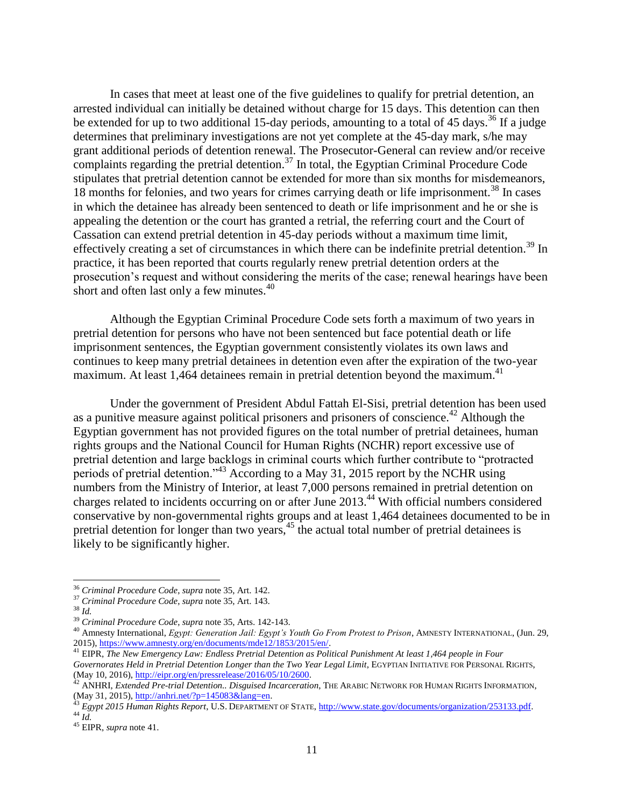In cases that meet at least one of the five guidelines to qualify for pretrial detention, an arrested individual can initially be detained without charge for 15 days. This detention can then be extended for up to two additional 15-day periods, amounting to a total of 45 days.<sup>36</sup> If a judge determines that preliminary investigations are not yet complete at the 45-day mark, s/he may grant additional periods of detention renewal. The Prosecutor-General can review and/or receive complaints regarding the pretrial detention.<sup>37</sup> In total, the Egyptian Criminal Procedure Code stipulates that pretrial detention cannot be extended for more than six months for misdemeanors, 18 months for felonies, and two years for crimes carrying death or life imprisonment.<sup>38</sup> In cases in which the detainee has already been sentenced to death or life imprisonment and he or she is appealing the detention or the court has granted a retrial, the referring court and the Court of Cassation can extend pretrial detention in 45-day periods without a maximum time limit, effectively creating a set of circumstances in which there can be indefinite pretrial detention.<sup>39</sup> In practice, it has been reported that courts regularly renew pretrial detention orders at the prosecution's request and without considering the merits of the case; renewal hearings have been short and often last only a few minutes.<sup>40</sup>

Although the Egyptian Criminal Procedure Code sets forth a maximum of two years in pretrial detention for persons who have not been sentenced but face potential death or life imprisonment sentences, the Egyptian government consistently violates its own laws and continues to keep many pretrial detainees in detention even after the expiration of the two-year maximum. At least 1,464 detainees remain in pretrial detention beyond the maximum.<sup>41</sup>

Under the government of President Abdul Fattah El-Sisi, pretrial detention has been used as a punitive measure against political prisoners and prisoners of conscience.<sup>42</sup> Although the Egyptian government has not provided figures on the total number of pretrial detainees, human rights groups and the National Council for Human Rights (NCHR) report excessive use of pretrial detention and large backlogs in criminal courts which further contribute to "protracted periods of pretrial detention."<sup>43</sup> According to a May 31, 2015 report by the NCHR using numbers from the Ministry of Interior, at least 7,000 persons remained in pretrial detention on charges related to incidents occurring on or after June 2013.<sup>44</sup> With official numbers considered conservative by non-governmental rights groups and at least 1,464 detainees documented to be in pretrial detention for longer than two years,<sup>45</sup> the actual total number of pretrial detainees is likely to be significantly higher.

<sup>36</sup> *Criminal Procedure Code*, *supra* note 35, Art. 142.

<sup>37</sup> *Criminal Procedure Code*, *supra* note 35, Art. 143.

<sup>38</sup> *Id.*

<sup>39</sup> *Criminal Procedure Code*, *supra* note 35, Arts. 142-143.

<sup>40</sup> Amnesty International, *Egypt: Generation Jail: Egypt's Youth Go From Protest to Prison*, AMNESTY INTERNATIONAL, (Jun. 29, 2015), https://www.amnesty.org/en/documents/mde12/1853/2015/en/.

<sup>41</sup> EIPR, *The New Emergency Law: Endless Pretrial Detention as Political Punishment At least 1,464 people in Four Governorates Held in Pretrial Detention Longer than the Two Year Legal Limit*, EGYPTIAN INITIATIVE FOR PERSONAL RIGHTS, (May 10, 2016), http://eipr.org/en/pressrelease/2016/05/10/2600.

<sup>42</sup> ANHRI, *Extended Pre-trial Detention.. Disguised Incarceration*, THE ARABIC NETWORK FOR HUMAN RIGHTS INFORMATION, (May 31, 2015)[, http://anhri.net/?p=145083&lang=en.](http://anhri.net/?p=145083&lang=en)

<sup>43</sup> *Egypt 2015 Human Rights Report*, U.S. DEPARTMENT OF STATE, [http://www.state.gov/documents/organization/253133.pdf.](http://www.state.gov/documents/organization/253133.pdf) <sup>44</sup> *Id.*

<sup>45</sup> EIPR, *supra* note 41.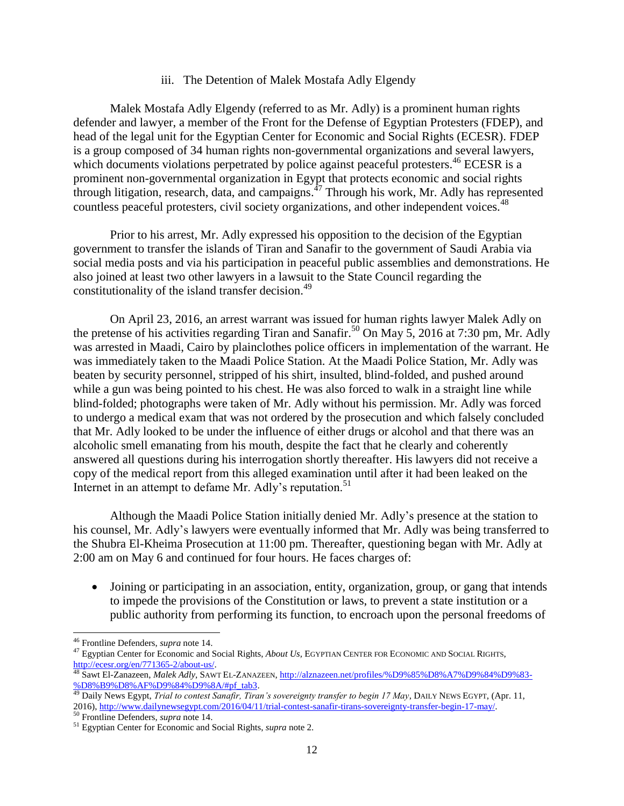#### iii. The Detention of Malek Mostafa Adly Elgendy

Malek Mostafa Adly Elgendy (referred to as Mr. Adly) is a prominent human rights defender and lawyer, a member of the Front for the Defense of Egyptian Protesters (FDEP), and head of the legal unit for the Egyptian Center for Economic and Social Rights (ECESR). FDEP is a group composed of 34 human rights non-governmental organizations and several lawyers, which documents violations perpetrated by police against peaceful protesters.<sup>46</sup> ECESR is a prominent non-governmental organization in Egypt that protects economic and social rights through litigation, research, data, and campaigns. <sup>47</sup> Through his work, Mr. Adly has represented countless peaceful protesters, civil society organizations, and other independent voices.<sup>48</sup>

Prior to his arrest, Mr. Adly expressed his opposition to the decision of the Egyptian government to transfer the islands of Tiran and Sanafir to the government of Saudi Arabia via social media posts and via his participation in peaceful public assemblies and demonstrations. He also joined at least two other lawyers in a lawsuit to the State Council regarding the constitutionality of the island transfer decision.<sup>49</sup>

On April 23, 2016, an arrest warrant was issued for human rights lawyer Malek Adly on the pretense of his activities regarding Tiran and Sanafir.<sup>50</sup> On May 5, 2016 at 7:30 pm, Mr. Adly was arrested in Maadi, Cairo by plainclothes police officers in implementation of the warrant. He was immediately taken to the Maadi Police Station. At the Maadi Police Station, Mr. Adly was beaten by security personnel, stripped of his shirt, insulted, blind-folded, and pushed around while a gun was being pointed to his chest. He was also forced to walk in a straight line while blind-folded; photographs were taken of Mr. Adly without his permission. Mr. Adly was forced to undergo a medical exam that was not ordered by the prosecution and which falsely concluded that Mr. Adly looked to be under the influence of either drugs or alcohol and that there was an alcoholic smell emanating from his mouth, despite the fact that he clearly and coherently answered all questions during his interrogation shortly thereafter. His lawyers did not receive a copy of the medical report from this alleged examination until after it had been leaked on the Internet in an attempt to defame Mr. Adly's reputation.<sup>51</sup>

Although the Maadi Police Station initially denied Mr. Adly's presence at the station to his counsel, Mr. Adly's lawyers were eventually informed that Mr. Adly was being transferred to the Shubra El-Kheima Prosecution at 11:00 pm. Thereafter, questioning began with Mr. Adly at 2:00 am on May 6 and continued for four hours. He faces charges of:

• Joining or participating in an association, entity, organization, group, or gang that intends to impede the provisions of the Constitution or laws, to prevent a state institution or a public authority from performing its function, to encroach upon the personal freedoms of

<sup>46</sup> Frontline Defenders, *supra* note 14.

<sup>47</sup> Egyptian Center for Economic and Social Rights, *About Us,* EGYPTIAN CENTER FOR ECONOMIC AND SOCIAL RIGHTS, [http://ecesr.org/en/771365-2/about-us/.](http://ecesr.org/en/771365-2/about-us/)

<sup>48</sup> Sawt El-Zanazeen, *Malek Adly*, SAWT EL-ZANAZEEN[, http://alznazeen.net/profiles/%D9%85%D8%A7%D9%84%D9%83-](http://alznazeen.net/profiles/%D9%85%D8%A7%D9%84%D9%83-%D8%B9%D8%AF%D9%84%D9%8A/#pf_tab3) [%D8%B9%D8%AF%D9%84%D9%8A/#pf\\_tab3.](http://alznazeen.net/profiles/%D9%85%D8%A7%D9%84%D9%83-%D8%B9%D8%AF%D9%84%D9%8A/#pf_tab3) 

<sup>&</sup>lt;sup>49</sup> Daily News Egypt, *Trial to contest Sanafir, Tiran's sovereignty transfer to begin 17 May*, DAILY NEWS EGYPT, (Apr. 11, 2016)[, http://www.dailynewsegypt.com/2016/04/11/trial-contest-sanafir-tirans-sovereignty-transfer-begin-17-may/.](http://www.dailynewsegypt.com/2016/04/11/trial-contest-sanafir-tirans-sovereignty-transfer-begin-17-may/)

<sup>50</sup> Frontline Defenders, *supra* note 14.

<sup>51</sup> Egyptian Center for Economic and Social Rights, *supra* note 2.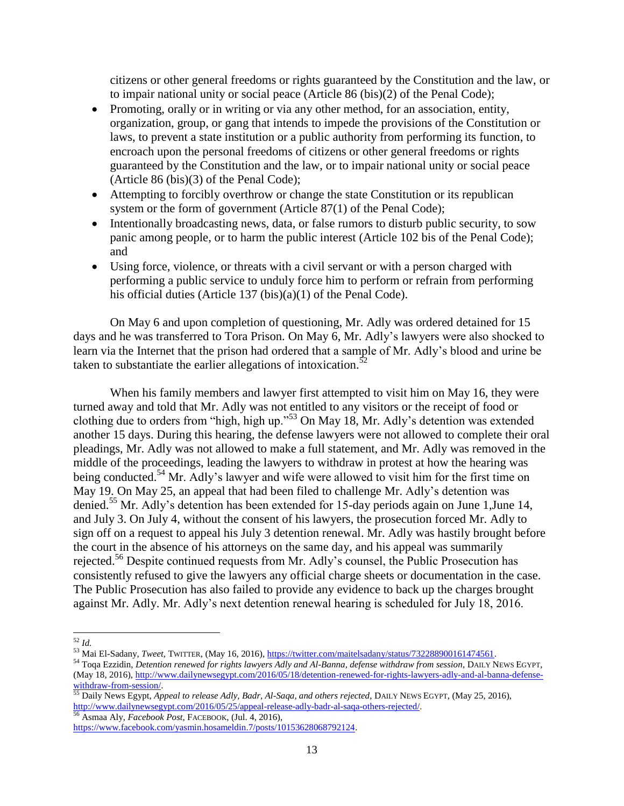citizens or other general freedoms or rights guaranteed by the Constitution and the law, or to impair national unity or social peace (Article 86 (bis)(2) of the Penal Code);

- Promoting, orally or in writing or via any other method, for an association, entity, organization, group, or gang that intends to impede the provisions of the Constitution or laws, to prevent a state institution or a public authority from performing its function, to encroach upon the personal freedoms of citizens or other general freedoms or rights guaranteed by the Constitution and the law, or to impair national unity or social peace (Article 86 (bis)(3) of the Penal Code);
- Attempting to forcibly overthrow or change the state Constitution or its republican system or the form of government (Article 87(1) of the Penal Code);
- Intentionally broadcasting news, data, or false rumors to disturb public security, to sow panic among people, or to harm the public interest (Article 102 bis of the Penal Code); and
- Using force, violence, or threats with a civil servant or with a person charged with performing a public service to unduly force him to perform or refrain from performing his official duties (Article 137 (bis)(a)(1) of the Penal Code).

On May 6 and upon completion of questioning, Mr. Adly was ordered detained for 15 days and he was transferred to Tora Prison. On May 6, Mr. Adly's lawyers were also shocked to learn via the Internet that the prison had ordered that a sample of Mr. Adly's blood and urine be taken to substantiate the earlier allegations of intoxication.<sup>52</sup>

When his family members and lawyer first attempted to visit him on May 16, they were turned away and told that Mr. Adly was not entitled to any visitors or the receipt of food or clothing due to orders from "high, high up."<sup>53</sup> On May 18, Mr. Adly's detention was extended another 15 days. During this hearing, the defense lawyers were not allowed to complete their oral pleadings, Mr. Adly was not allowed to make a full statement, and Mr. Adly was removed in the middle of the proceedings, leading the lawyers to withdraw in protest at how the hearing was being conducted.<sup>54</sup> Mr. Adly's lawyer and wife were allowed to visit him for the first time on May 19. On May 25, an appeal that had been filed to challenge Mr. Adly's detention was denied.<sup>55</sup> Mr. Adly's detention has been extended for 15-day periods again on June 1, June 14, and July 3. On July 4, without the consent of his lawyers, the prosecution forced Mr. Adly to sign off on a request to appeal his July 3 detention renewal. Mr. Adly was hastily brought before the court in the absence of his attorneys on the same day, and his appeal was summarily rejected.<sup>56</sup> Despite continued requests from Mr. Adly's counsel, the Public Prosecution has consistently refused to give the lawyers any official charge sheets or documentation in the case. The Public Prosecution has also failed to provide any evidence to back up the charges brought against Mr. Adly. Mr. Adly's next detention renewal hearing is scheduled for July 18, 2016.

 $\overline{\phantom{a}}$ 

<sup>55</sup> Daily News Egypt, *Appeal to release Adly, Badr, Al-Saqa, and others rejected*, DAILY NEWS EGYPT, (May 25, 2016), [http://www.dailynewsegypt.com/2016/05/25/appeal-release-adly-badr-al-saqa-others-rejected/.](http://www.dailynewsegypt.com/2016/05/25/appeal-release-adly-badr-al-saqa-others-rejected/) <sup>56</sup> Asmaa Aly, *Facebook Post*, FACEBOOK, (Jul. 4, 2016),

[https://www.facebook.com/yasmin.hosameldin.7/posts/10153628068792124.](https://www.facebook.com/yasmin.hosameldin.7/posts/10153628068792124) 

<sup>52</sup> *Id.*

<sup>53</sup> Mai El-Sadany, *Tweet*, TWITTER, (May 16, 2016), [https://twitter.com/maitelsadany/status/732288900161474561.](https://twitter.com/maitelsadany/status/732288900161474561)

<sup>&</sup>lt;sup>54</sup> Toqa Ezzidin, *Detention renewed for rights lawyers Adly and Al-Banna, defense withdraw from session*, DAILY NEWS EGYPT, (May 18, 2016)[, http://www.dailynewsegypt.com/2016/05/18/detention-renewed-for-rights-lawyers-adly-and-al-banna-defense](http://www.dailynewsegypt.com/2016/05/18/detention-renewed-for-rights-lawyers-adly-and-al-banna-defense-withdraw-from-session/)[withdraw-from-session/.](http://www.dailynewsegypt.com/2016/05/18/detention-renewed-for-rights-lawyers-adly-and-al-banna-defense-withdraw-from-session/)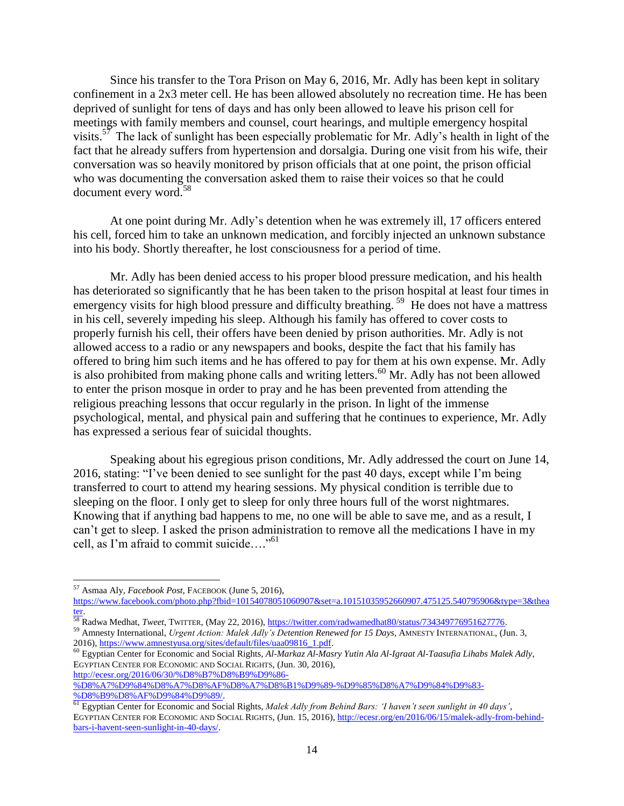Since his transfer to the Tora Prison on May 6, 2016, Mr. Adly has been kept in solitary confinement in a 2x3 meter cell. He has been allowed absolutely no recreation time. He has been deprived of sunlight for tens of days and has only been allowed to leave his prison cell for meetings with family members and counsel, court hearings, and multiple emergency hospital visits.<sup>57</sup> The lack of sunlight has been especially problematic for Mr. Adly's health in light of the fact that he already suffers from hypertension and dorsalgia. During one visit from his wife, their conversation was so heavily monitored by prison officials that at one point, the prison official who was documenting the conversation asked them to raise their voices so that he could document every word.<sup>58</sup>

At one point during Mr. Adly's detention when he was extremely ill, 17 officers entered his cell, forced him to take an unknown medication, and forcibly injected an unknown substance into his body. Shortly thereafter, he lost consciousness for a period of time.

Mr. Adly has been denied access to his proper blood pressure medication, and his health has deteriorated so significantly that he has been taken to the prison hospital at least four times in emergency visits for high blood pressure and difficulty breathing.<sup>59</sup> He does not have a mattress in his cell, severely impeding his sleep. Although his family has offered to cover costs to properly furnish his cell, their offers have been denied by prison authorities. Mr. Adly is not allowed access to a radio or any newspapers and books, despite the fact that his family has offered to bring him such items and he has offered to pay for them at his own expense. Mr. Adly is also prohibited from making phone calls and writing letters.<sup>60</sup> Mr. Adly has not been allowed to enter the prison mosque in order to pray and he has been prevented from attending the religious preaching lessons that occur regularly in the prison. In light of the immense psychological, mental, and physical pain and suffering that he continues to experience, Mr. Adly has expressed a serious fear of suicidal thoughts.

Speaking about his egregious prison conditions, Mr. Adly addressed the court on June 14, 2016, stating: "I've been denied to see sunlight for the past 40 days, except while I'm being transferred to court to attend my hearing sessions. My physical condition is terrible due to sleeping on the floor. I only get to sleep for only three hours full of the worst nightmares. Knowing that if anything bad happens to me, no one will be able to save me, and as a result, I can't get to sleep. I asked the prison administration to remove all the medications I have in my cell, as I'm afraid to commit suicide…." 61

 $\overline{\phantom{a}}$ 

[%D8%A7%D9%84%D8%A7%D8%AF%D8%A7%D8%B1%D9%89-%D9%85%D8%A7%D9%84%D9%83-](http://ecesr.org/2016/06/30/%D8%B7%D8%B9%D9%86-%D8%A7%D9%84%D8%A7%D8%AF%D8%A7%D8%B1%D9%89-%D9%85%D8%A7%D9%84%D9%83-%D8%B9%D8%AF%D9%84%D9%89/) [%D8%B9%D8%AF%D9%84%D9%89/.](http://ecesr.org/2016/06/30/%D8%B7%D8%B9%D9%86-%D8%A7%D9%84%D8%A7%D8%AF%D8%A7%D8%B1%D9%89-%D9%85%D8%A7%D9%84%D9%83-%D8%B9%D8%AF%D9%84%D9%89/) 

<sup>57</sup> Asmaa Aly, *Facebook Post*, FACEBOOK (June 5, 2016),

[https://www.facebook.com/photo.php?fbid=10154078051060907&set=a.10151035952660907.475125.540795906&type=3&thea](https://www.facebook.com/photo.php?fbid=10154078051060907&set=a.10151035952660907.475125.540795906&type=3&theater) [ter.](https://www.facebook.com/photo.php?fbid=10154078051060907&set=a.10151035952660907.475125.540795906&type=3&theater) 

<sup>58</sup> Radwa Medhat, *Tweet*, TWITTER, (May 22, 2016)[, https://twitter.com/radwamedhat80/status/734349776951627776.](https://twitter.com/radwamedhat80/status/734349776951627776)  <sup>59</sup> Amnesty International, *Urgent Action: Malek Adly's Detention Renewed for 15 Days*, AMNESTY INTERNATIONAL, (Jun. 3,

<sup>2016)</sup>[, https://www.amnestyusa.org/sites/default/files/uaa09816\\_1.pdf.](https://www.amnestyusa.org/sites/default/files/uaa09816_1.pdf)

<sup>60</sup> Egyptian Center for Economic and Social Rights, *Al-Markaz Al-Masry Yutin Ala Al-Igraat Al-Taasufia Lihabs Malek Adly*, EGYPTIAN CENTER FOR ECONOMIC AND SOCIAL RIGHTS, (Jun. 30, 2016), [http://ecesr.org/2016/06/30/%D8%B7%D8%B9%D9%86-](http://ecesr.org/2016/06/30/%D8%B7%D8%B9%D9%86-%D8%A7%D9%84%D8%A7%D8%AF%D8%A7%D8%B1%D9%89-%D9%85%D8%A7%D9%84%D9%83-%D8%B9%D8%AF%D9%84%D9%89/)

<sup>61</sup> Egyptian Center for Economic and Social Rights, *Malek Adly from Behind Bars: 'I haven't seen sunlight in 40 days'*, EGYPTIAN CENTER FOR ECONOMIC AND SOCIAL RIGHTS, (Jun. 15, 2016), [http://ecesr.org/en/2016/06/15/malek-adly-from-behind](http://ecesr.org/en/2016/06/15/malek-adly-from-behind-bars-i-havent-seen-sunlight-in-40-days/)[bars-i-havent-seen-sunlight-in-40-days/.](http://ecesr.org/en/2016/06/15/malek-adly-from-behind-bars-i-havent-seen-sunlight-in-40-days/)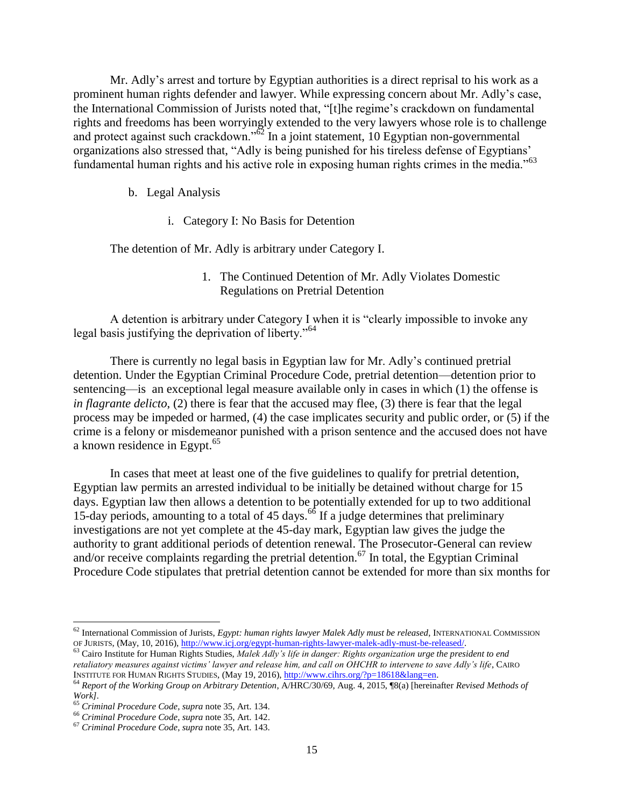Mr. Adly's arrest and torture by Egyptian authorities is a direct reprisal to his work as a prominent human rights defender and lawyer. While expressing concern about Mr. Adly's case, the International Commission of Jurists noted that, "[t]he regime's crackdown on fundamental rights and freedoms has been worryingly extended to the very lawyers whose role is to challenge and protect against such crackdown."<sup>62</sup> In a joint statement, 10 Egyptian non-governmental organizations also stressed that, "Adly is being punished for his tireless defense of Egyptians' fundamental human rights and his active role in exposing human rights crimes in the media."<sup>63</sup>

- b. Legal Analysis
	- i. Category I: No Basis for Detention

The detention of Mr. Adly is arbitrary under Category I.

1. The Continued Detention of Mr. Adly Violates Domestic Regulations on Pretrial Detention

A detention is arbitrary under Category I when it is "clearly impossible to invoke any legal basis justifying the deprivation of liberty."<sup>64</sup>

There is currently no legal basis in Egyptian law for Mr. Adly's continued pretrial detention. Under the Egyptian Criminal Procedure Code, pretrial detention—detention prior to sentencing—is an exceptional legal measure available only in cases in which (1) the offense is *in flagrante delicto*, (2) there is fear that the accused may flee, (3) there is fear that the legal process may be impeded or harmed, (4) the case implicates security and public order, or (5) if the crime is a felony or misdemeanor punished with a prison sentence and the accused does not have a known residence in Egypt. $65$ 

In cases that meet at least one of the five guidelines to qualify for pretrial detention, Egyptian law permits an arrested individual to be initially be detained without charge for 15 days. Egyptian law then allows a detention to be potentially extended for up to two additional 15-day periods, amounting to a total of 45 days.<sup>66</sup> If a judge determines that preliminary investigations are not yet complete at the 45-day mark, Egyptian law gives the judge the authority to grant additional periods of detention renewal. The Prosecutor-General can review and/or receive complaints regarding the pretrial detention.<sup>67</sup> In total, the Egyptian Criminal Procedure Code stipulates that pretrial detention cannot be extended for more than six months for

<sup>62</sup> International Commission of Jurists, *Egypt: human rights lawyer Malek Adly must be released*, INTERNATIONAL COMMISSION OF JURISTS, (May, 10, 2016), [http://www.icj.org/egypt-human-rights-lawyer-malek-adly-must-be-released/.](http://www.icj.org/egypt-human-rights-lawyer-malek-adly-must-be-released/) 

<sup>63</sup> Cairo Institute for Human Rights Studies, *Malek Adly's life in danger: Rights organization urge the president to end retaliatory measures against victims' lawyer and release him, and call on OHCHR to intervene to save Adly's life*, CAIRO INSTITUTE FOR HUMAN RIGHTS STUDIES, (May 19, 2016)[, http://www.cihrs.org/?p=18618&lang=en.](http://www.cihrs.org/?p=18618&lang=en) 

<sup>64</sup> *Report of the Working Group on Arbitrary Detention*, A/HRC/30/69, Aug. 4, 2015, ¶8(a) [hereinafter *Revised Methods of Work].*

<sup>65</sup> *Criminal Procedure Code*, *supra* note 35, Art. 134.

<sup>66</sup> *Criminal Procedure Code*, *supra* note 35, Art. 142.

<sup>67</sup> *Criminal Procedure Code*, *supra* note 35, Art. 143.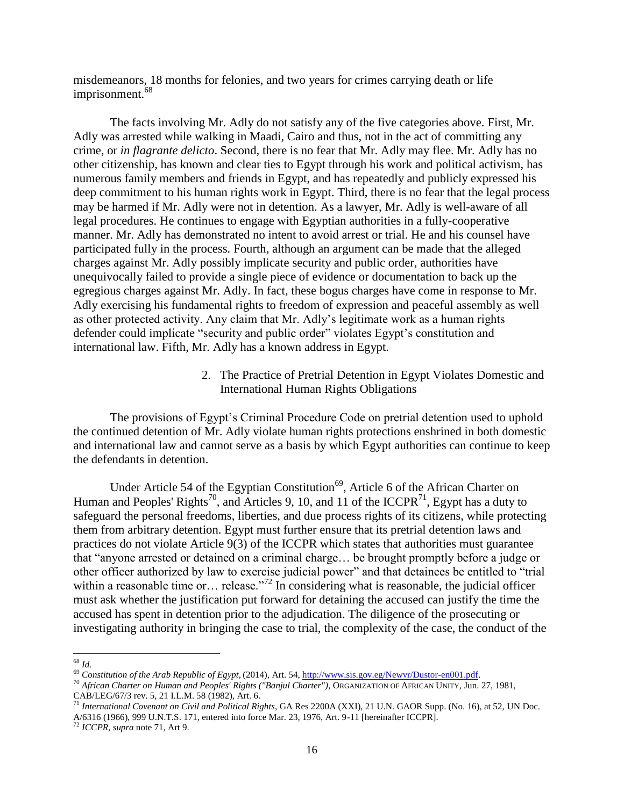misdemeanors, 18 months for felonies, and two years for crimes carrying death or life imprisonment.<sup>68</sup>

The facts involving Mr. Adly do not satisfy any of the five categories above. First, Mr. Adly was arrested while walking in Maadi, Cairo and thus, not in the act of committing any crime, or *in flagrante delicto*. Second, there is no fear that Mr. Adly may flee. Mr. Adly has no other citizenship, has known and clear ties to Egypt through his work and political activism, has numerous family members and friends in Egypt, and has repeatedly and publicly expressed his deep commitment to his human rights work in Egypt. Third, there is no fear that the legal process may be harmed if Mr. Adly were not in detention. As a lawyer, Mr. Adly is well-aware of all legal procedures. He continues to engage with Egyptian authorities in a fully-cooperative manner. Mr. Adly has demonstrated no intent to avoid arrest or trial. He and his counsel have participated fully in the process. Fourth, although an argument can be made that the alleged charges against Mr. Adly possibly implicate security and public order, authorities have unequivocally failed to provide a single piece of evidence or documentation to back up the egregious charges against Mr. Adly. In fact, these bogus charges have come in response to Mr. Adly exercising his fundamental rights to freedom of expression and peaceful assembly as well as other protected activity. Any claim that Mr. Adly's legitimate work as a human rights defender could implicate "security and public order" violates Egypt's constitution and international law. Fifth, Mr. Adly has a known address in Egypt.

> 2. The Practice of Pretrial Detention in Egypt Violates Domestic and International Human Rights Obligations

The provisions of Egypt's Criminal Procedure Code on pretrial detention used to uphold the continued detention of Mr. Adly violate human rights protections enshrined in both domestic and international law and cannot serve as a basis by which Egypt authorities can continue to keep the defendants in detention.

Under Article 54 of the Egyptian Constitution<sup>69</sup>, Article 6 of the African Charter on Human and Peoples' Rights<sup>70</sup>, and Articles 9, 10, and 11 of the ICCPR<sup>71</sup>, Egypt has a duty to safeguard the personal freedoms, liberties, and due process rights of its citizens, while protecting them from arbitrary detention. Egypt must further ensure that its pretrial detention laws and practices do not violate Article 9(3) of the ICCPR which states that authorities must guarantee that "anyone arrested or detained on a criminal charge… be brought promptly before a judge or other officer authorized by law to exercise judicial power" and that detainees be entitled to "trial within a reasonable time or… release."<sup>72</sup> In considering what is reasonable, the judicial officer must ask whether the justification put forward for detaining the accused can justify the time the accused has spent in detention prior to the adjudication. The diligence of the prosecuting or investigating authority in bringing the case to trial, the complexity of the case, the conduct of the

l <sup>68</sup> *Id.*

<sup>69</sup> *Constitution of the Arab Republic of Egypt*, (2014), Art. 54[, http://www.sis.gov.eg/Newvr/Dustor-en001.pdf.](http://www.sis.gov.eg/Newvr/Dustor-en001.pdf)

<sup>70</sup> *African Charter on Human and Peoples' Rights ("Banjul Charter")*, ORGANIZATION OF AFRICAN UNITY, Jun. 27, 1981, CAB/LEG/67/3 rev. 5, 21 I.L.M. 58 (1982), Art. 6.

<sup>71</sup> *International Covenant on Civil and Political Rights*, GA Res 2200A (XXI), 21 U.N. GAOR Supp. (No. 16), at 52, UN Doc. A/6316 (1966), 999 U.N.T.S. 171, entered into force Mar. 23, 1976, Art. 9-11 [hereinafter ICCPR].

<sup>72</sup> *ICCPR, supra* note 71, Art 9.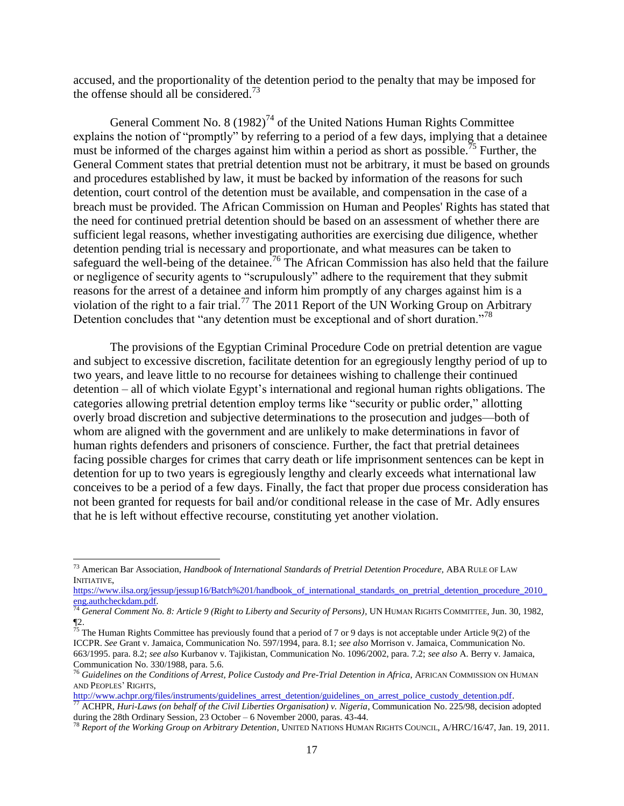accused, and the proportionality of the detention period to the penalty that may be imposed for the offense should all be considered.<sup>73</sup>

General Comment No. 8  $(1982)^{74}$  of the United Nations Human Rights Committee explains the notion of "promptly" by referring to a period of a few days, implying that a detainee must be informed of the charges against him within a period as short as possible.<sup>75</sup> Further, the General Comment states that pretrial detention must not be arbitrary, it must be based on grounds and procedures established by law, it must be backed by information of the reasons for such detention, court control of the detention must be available, and compensation in the case of a breach must be provided. The African Commission on Human and Peoples' Rights has stated that the need for continued pretrial detention should be based on an assessment of whether there are sufficient legal reasons, whether investigating authorities are exercising due diligence, whether detention pending trial is necessary and proportionate, and what measures can be taken to safeguard the well-being of the detainee.<sup>76</sup> The African Commission has also held that the failure or negligence of security agents to "scrupulously" adhere to the requirement that they submit reasons for the arrest of a detainee and inform him promptly of any charges against him is a violation of the right to a fair trial.<sup>77</sup> The 2011 Report of the UN Working Group on Arbitrary Detention concludes that "any detention must be exceptional and of short duration."<sup>78</sup>

The provisions of the Egyptian Criminal Procedure Code on pretrial detention are vague and subject to excessive discretion, facilitate detention for an egregiously lengthy period of up to two years, and leave little to no recourse for detainees wishing to challenge their continued detention – all of which violate Egypt's international and regional human rights obligations. The categories allowing pretrial detention employ terms like "security or public order," allotting overly broad discretion and subjective determinations to the prosecution and judges—both of whom are aligned with the government and are unlikely to make determinations in favor of human rights defenders and prisoners of conscience. Further, the fact that pretrial detainees facing possible charges for crimes that carry death or life imprisonment sentences can be kept in detention for up to two years is egregiously lengthy and clearly exceeds what international law conceives to be a period of a few days. Finally, the fact that proper due process consideration has not been granted for requests for bail and/or conditional release in the case of Mr. Adly ensures that he is left without effective recourse, constituting yet another violation.

<sup>73</sup> American Bar Association, *Handbook of International Standards of Pretrial Detention Procedure,* ABA RULE OF LAW INITIATIVE,

https://www.ilsa.org/jessup/jessup16/Batch%201/handbook of international standards on pretrial detention procedure 2010 [eng.authcheckdam.pdf.](https://www.ilsa.org/jessup/jessup16/Batch%201/handbook_of_international_standards_on_pretrial_detention_procedure_2010_eng.authcheckdam.pdf) 

<sup>74</sup> *General Comment No. 8: Article 9 (Right to Liberty and Security of Persons)*, UN HUMAN RIGHTS COMMITTEE, Jun. 30, 1982, ¶2.

<sup>&</sup>lt;sup>75</sup> The Human Rights Committee has previously found that a period of 7 or 9 days is not acceptable under Article 9(2) of the ICCPR. *See* Grant v. Jamaica, Communication No. 597/1994, para. 8.1; *see also* Morrison v. Jamaica, Communication No. 663/1995. para. 8.2; *see also* Kurbanov v. Tajikistan, Communication No. 1096/2002, para. 7.2; *see also* A. Berry v. Jamaica, Communication No. 330/1988, para. 5.6.

<sup>76</sup> *Guidelines on the Conditions of Arrest, Police Custody and Pre-Trial Detention in Africa*, AFRICAN COMMISSION ON HUMAN AND PEOPLES' RIGHTS,

http://www.achpr.org/files/instruments/guidelines\_arrest\_detention/guidelines\_on\_arrest\_police\_custody\_detention.pdf.

<sup>77</sup> ACHPR, *Huri-Laws (on behalf of the Civil Liberties Organisation) v. Nigeria*, Communication No. 225/98, decision adopted during the 28th Ordinary Session, 23 October – 6 November 2000, paras. 43-44.

<sup>78</sup> *Report of the Working Group on Arbitrary Detention*, UNITED NATIONS HUMAN RIGHTS COUNCIL, A/HRC/16/47, Jan. 19, 2011.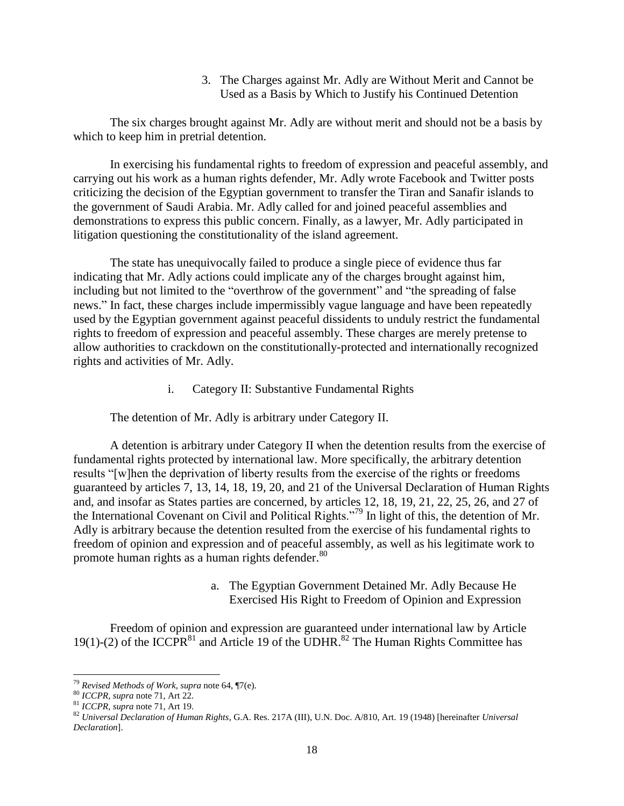3. The Charges against Mr. Adly are Without Merit and Cannot be Used as a Basis by Which to Justify his Continued Detention

The six charges brought against Mr. Adly are without merit and should not be a basis by which to keep him in pretrial detention.

In exercising his fundamental rights to freedom of expression and peaceful assembly, and carrying out his work as a human rights defender, Mr. Adly wrote Facebook and Twitter posts criticizing the decision of the Egyptian government to transfer the Tiran and Sanafir islands to the government of Saudi Arabia. Mr. Adly called for and joined peaceful assemblies and demonstrations to express this public concern. Finally, as a lawyer, Mr. Adly participated in litigation questioning the constitutionality of the island agreement.

The state has unequivocally failed to produce a single piece of evidence thus far indicating that Mr. Adly actions could implicate any of the charges brought against him, including but not limited to the "overthrow of the government" and "the spreading of false news." In fact, these charges include impermissibly vague language and have been repeatedly used by the Egyptian government against peaceful dissidents to unduly restrict the fundamental rights to freedom of expression and peaceful assembly. These charges are merely pretense to allow authorities to crackdown on the constitutionally-protected and internationally recognized rights and activities of Mr. Adly.

i. Category II: Substantive Fundamental Rights

The detention of Mr. Adly is arbitrary under Category II.

A detention is arbitrary under Category II when the detention results from the exercise of fundamental rights protected by international law. More specifically, the arbitrary detention results "[w]hen the deprivation of liberty results from the exercise of the rights or freedoms guaranteed by articles 7, 13, 14, 18, 19, 20, and 21 of the Universal Declaration of Human Rights and, and insofar as States parties are concerned, by articles 12, 18, 19, 21, 22, 25, 26, and 27 of the International Covenant on Civil and Political Rights."<sup>79</sup> In light of this, the detention of Mr. Adly is arbitrary because the detention resulted from the exercise of his fundamental rights to freedom of opinion and expression and of peaceful assembly, as well as his legitimate work to promote human rights as a human rights defender.<sup>80</sup>

> a. The Egyptian Government Detained Mr. Adly Because He Exercised His Right to Freedom of Opinion and Expression

Freedom of opinion and expression are guaranteed under international law by Article 19(1)-(2) of the ICCPR<sup>81</sup> and Article 19 of the UDHR.<sup>82</sup> The Human Rights Committee has

<sup>79</sup> *Revised Methods of Work*, *supra* note 64, ¶7(e).

<sup>80</sup> *ICCPR, supra* note 71, Art 22.

<sup>81</sup> *ICCPR, supra* note 71, Art 19.

<sup>82</sup> *Universal Declaration of Human Rights*, G.A. Res. 217A (III), U.N. Doc. A/810, Art. 19 (1948) [hereinafter *Universal Declaration*].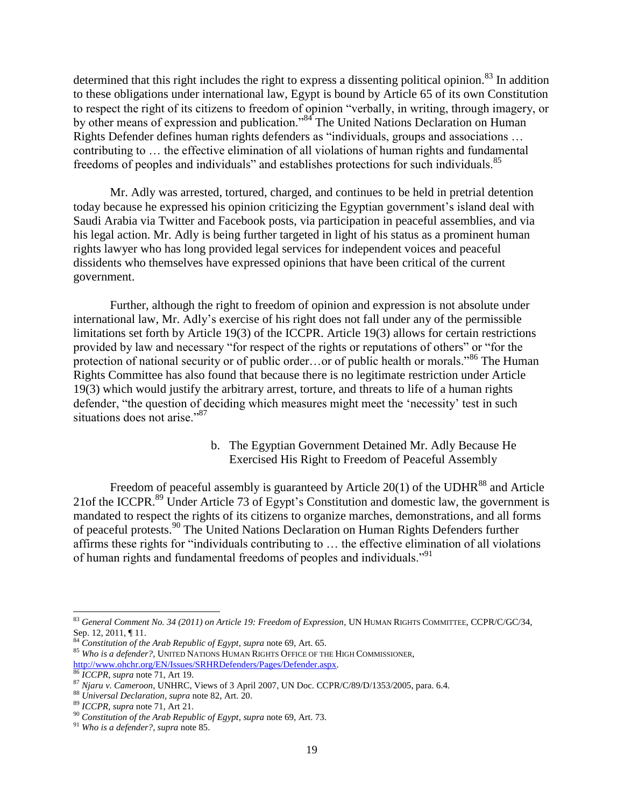determined that this right includes the right to express a dissenting political opinion.<sup>83</sup> In addition to these obligations under international law, Egypt is bound by Article 65 of its own Constitution to respect the right of its citizens to freedom of opinion "verbally, in writing, through imagery, or by other means of expression and publication."<sup>84</sup> The United Nations Declaration on Human Rights Defender defines human rights defenders as "individuals, groups and associations … contributing to … the effective elimination of all violations of human rights and fundamental freedoms of peoples and individuals" and establishes protections for such individuals.<sup>85</sup>

Mr. Adly was arrested, tortured, charged, and continues to be held in pretrial detention today because he expressed his opinion criticizing the Egyptian government's island deal with Saudi Arabia via Twitter and Facebook posts, via participation in peaceful assemblies, and via his legal action. Mr. Adly is being further targeted in light of his status as a prominent human rights lawyer who has long provided legal services for independent voices and peaceful dissidents who themselves have expressed opinions that have been critical of the current government.

Further, although the right to freedom of opinion and expression is not absolute under international law, Mr. Adly's exercise of his right does not fall under any of the permissible limitations set forth by Article 19(3) of the ICCPR. Article 19(3) allows for certain restrictions provided by law and necessary "for respect of the rights or reputations of others" or "for the protection of national security or of public order...or of public health or morals."<sup>86</sup> The Human Rights Committee has also found that because there is no legitimate restriction under Article 19(3) which would justify the arbitrary arrest, torture, and threats to life of a human rights defender, "the question of deciding which measures might meet the 'necessity' test in such situations does not arise."<sup>87</sup>

> b. The Egyptian Government Detained Mr. Adly Because He Exercised His Right to Freedom of Peaceful Assembly

Freedom of peaceful assembly is guaranteed by Article  $20(1)$  of the UDHR<sup>88</sup> and Article 21 of the ICCPR.<sup>89</sup> Under Article 73 of Egypt's Constitution and domestic law, the government is mandated to respect the rights of its citizens to organize marches, demonstrations, and all forms of peaceful protests.<sup>90</sup> The United Nations Declaration on Human Rights Defenders further affirms these rights for "individuals contributing to … the effective elimination of all violations of human rights and fundamental freedoms of peoples and individuals."<sup>91</sup>

 $\overline{\phantom{a}}$ <sup>83</sup> *General Comment No. 34 (2011) on Article 19: Freedom of Expression*, UN HUMAN RIGHTS COMMITTEE, CCPR/C/GC/34, Sep. 12, 2011, ¶ 11.

<sup>84</sup> *Constitution of the Arab Republic of Egypt*, *supra* note 69, Art. 65.

<sup>85</sup> *Who is a defender?,* UNITED NATIONS HUMAN RIGHTS OFFICE OF THE HIGH COMMISSIONER, [http://www.ohchr.org/EN/Issues/SRHRDefenders/Pages/Defender.aspx.](http://www.ohchr.org/EN/Issues/SRHRDefenders/Pages/Defender.aspx)

<sup>86</sup> *ICCPR, supra* note 71, Art 19.

<sup>87</sup> *Njaru v. Cameroon*, UNHRC, Views of 3 April 2007, UN Doc. CCPR/C/89/D/1353/2005, para. 6.4.

<sup>88</sup> *Universal Declaration, supra* note 82, Art. 20.

<sup>89</sup> *ICCPR, supra* note 71, Art 21.

<sup>90</sup> *Constitution of the Arab Republic of Egypt*, *supra* note 69, Art. 73.

<sup>91</sup> *Who is a defender?, supra* note 85.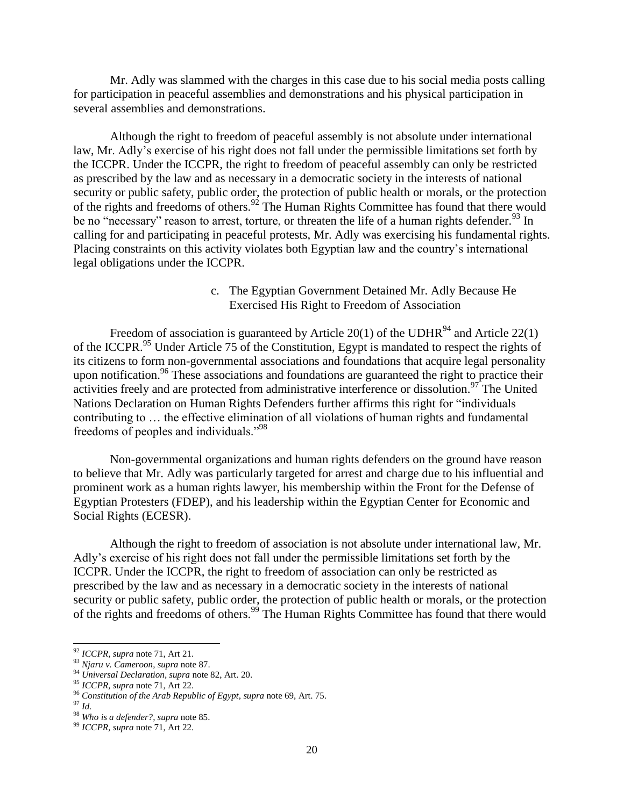Mr. Adly was slammed with the charges in this case due to his social media posts calling for participation in peaceful assemblies and demonstrations and his physical participation in several assemblies and demonstrations.

Although the right to freedom of peaceful assembly is not absolute under international law, Mr. Adly's exercise of his right does not fall under the permissible limitations set forth by the ICCPR. Under the ICCPR, the right to freedom of peaceful assembly can only be restricted as prescribed by the law and as necessary in a democratic society in the interests of national security or public safety, public order, the protection of public health or morals, or the protection of the rights and freedoms of others.<sup>92</sup> The Human Rights Committee has found that there would be no "necessary" reason to arrest, torture, or threaten the life of a human rights defender.<sup>93</sup> In calling for and participating in peaceful protests, Mr. Adly was exercising his fundamental rights. Placing constraints on this activity violates both Egyptian law and the country's international legal obligations under the ICCPR.

## c. The Egyptian Government Detained Mr. Adly Because He Exercised His Right to Freedom of Association

Freedom of association is guaranteed by Article 20(1) of the UDHR $94$  and Article 22(1) of the ICCPR.<sup>95</sup> Under Article 75 of the Constitution, Egypt is mandated to respect the rights of its citizens to form non-governmental associations and foundations that acquire legal personality upon notification.<sup>96</sup> These associations and foundations are guaranteed the right to practice their activities freely and are protected from administrative interference or dissolution.<sup>97</sup> The United Nations Declaration on Human Rights Defenders further affirms this right for "individuals contributing to … the effective elimination of all violations of human rights and fundamental freedoms of peoples and individuals."<sup>98</sup>

Non-governmental organizations and human rights defenders on the ground have reason to believe that Mr. Adly was particularly targeted for arrest and charge due to his influential and prominent work as a human rights lawyer, his membership within the Front for the Defense of Egyptian Protesters (FDEP), and his leadership within the Egyptian Center for Economic and Social Rights (ECESR).

Although the right to freedom of association is not absolute under international law, Mr. Adly's exercise of his right does not fall under the permissible limitations set forth by the ICCPR. Under the ICCPR, the right to freedom of association can only be restricted as prescribed by the law and as necessary in a democratic society in the interests of national security or public safety, public order, the protection of public health or morals, or the protection of the rights and freedoms of others.<sup>99</sup> The Human Rights Committee has found that there would

<sup>92</sup> *ICCPR, supra* note 71, Art 21.

<sup>93</sup> *Njaru v. Cameroon*, *supra* note 87.

<sup>94</sup> *Universal Declaration, supra* note 82, Art. 20.

<sup>95</sup> *ICCPR, supra* note 71, Art 22.

<sup>96</sup> *Constitution of the Arab Republic of Egypt*, *supra* note 69, Art. 75.

<sup>97</sup> *Id.*

<sup>98</sup> *Who is a defender?, supra* note 85.

<sup>99</sup> *ICCPR, supra* note 71, Art 22.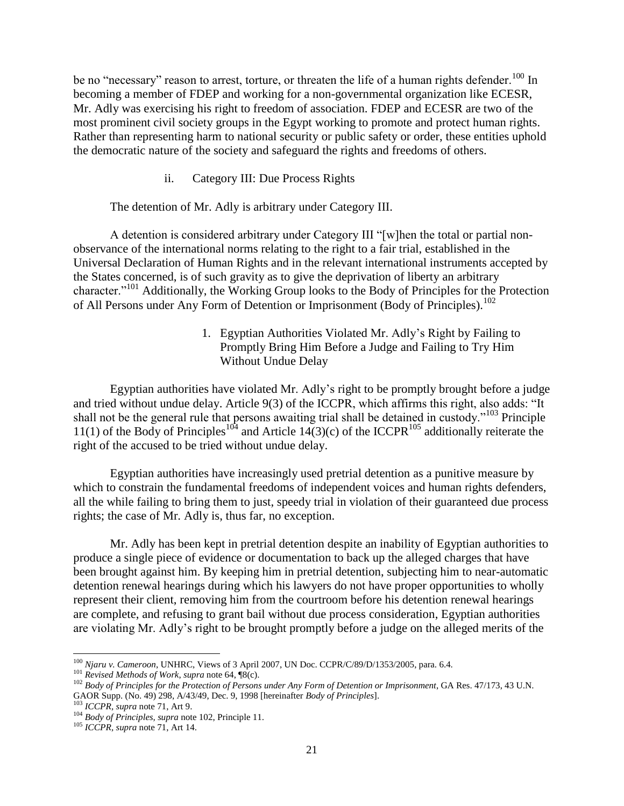be no "necessary" reason to arrest, torture, or threaten the life of a human rights defender.<sup>100</sup> In becoming a member of FDEP and working for a non-governmental organization like ECESR, Mr. Adly was exercising his right to freedom of association. FDEP and ECESR are two of the most prominent civil society groups in the Egypt working to promote and protect human rights. Rather than representing harm to national security or public safety or order, these entities uphold the democratic nature of the society and safeguard the rights and freedoms of others.

### ii. Category III: Due Process Rights

#### The detention of Mr. Adly is arbitrary under Category III.

A detention is considered arbitrary under Category III "[w]hen the total or partial nonobservance of the international norms relating to the right to a fair trial, established in the Universal Declaration of Human Rights and in the relevant international instruments accepted by the States concerned, is of such gravity as to give the deprivation of liberty an arbitrary character."<sup>101</sup> Additionally, the Working Group looks to the Body of Principles for the Protection of All Persons under Any Form of Detention or Imprisonment (Body of Principles).<sup>102</sup>

> 1. Egyptian Authorities Violated Mr. Adly's Right by Failing to Promptly Bring Him Before a Judge and Failing to Try Him Without Undue Delay

Egyptian authorities have violated Mr. Adly's right to be promptly brought before a judge and tried without undue delay. Article 9(3) of the ICCPR, which affirms this right, also adds: "It shall not be the general rule that persons awaiting trial shall be detained in custody."<sup>103</sup> Principle 11(1) of the Body of Principles<sup>104</sup> and Article 14(3)(c) of the ICCPR<sup>105</sup> additionally reiterate the right of the accused to be tried without undue delay.

Egyptian authorities have increasingly used pretrial detention as a punitive measure by which to constrain the fundamental freedoms of independent voices and human rights defenders, all the while failing to bring them to just, speedy trial in violation of their guaranteed due process rights; the case of Mr. Adly is, thus far, no exception.

Mr. Adly has been kept in pretrial detention despite an inability of Egyptian authorities to produce a single piece of evidence or documentation to back up the alleged charges that have been brought against him. By keeping him in pretrial detention, subjecting him to near-automatic detention renewal hearings during which his lawyers do not have proper opportunities to wholly represent their client, removing him from the courtroom before his detention renewal hearings are complete, and refusing to grant bail without due process consideration, Egyptian authorities are violating Mr. Adly's right to be brought promptly before a judge on the alleged merits of the

l <sup>100</sup> *Njaru v. Cameroon*, UNHRC, Views of 3 April 2007, UN Doc. CCPR/C/89/D/1353/2005, para. 6.4.

<sup>101</sup> *Revised Methods of Work*, *supra* note 64, ¶8(c).

<sup>&</sup>lt;sup>102</sup> Body of Principles for the Protection of Persons under Any Form of Detention or Imprisonment, GA Res. 47/173, 43 U.N. GAOR Supp. (No. 49) 298, A/43/49, Dec. 9, 1998 [hereinafter *Body of Principles*].<br><sup>103</sup> ICCPP supp. (71, 103)

<sup>&</sup>lt;sup>3</sup> *ICCPR, supra* note 71, Art 9.

<sup>104</sup> *Body of Principles, supra* note 102, Principle 11.

<sup>105</sup> *ICCPR, supra* note 71, Art 14.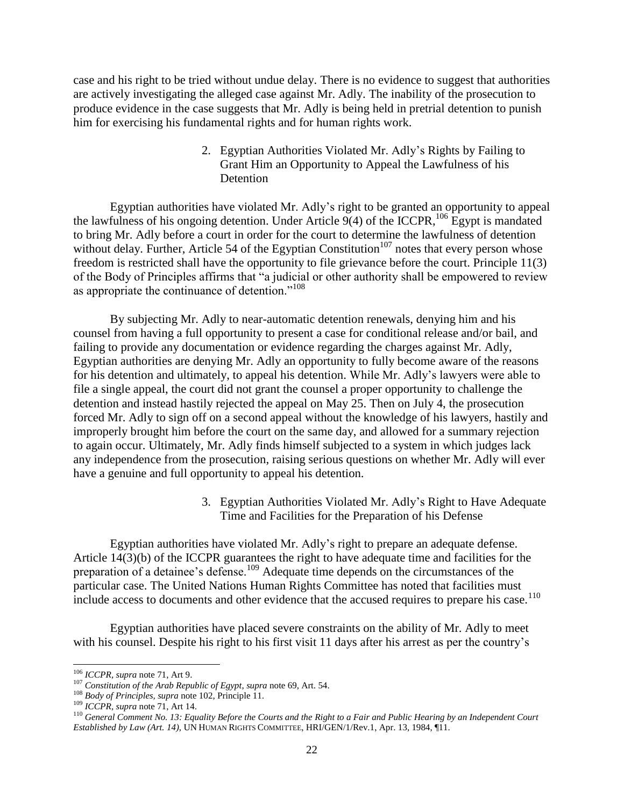case and his right to be tried without undue delay. There is no evidence to suggest that authorities are actively investigating the alleged case against Mr. Adly. The inability of the prosecution to produce evidence in the case suggests that Mr. Adly is being held in pretrial detention to punish him for exercising his fundamental rights and for human rights work.

> 2. Egyptian Authorities Violated Mr. Adly's Rights by Failing to Grant Him an Opportunity to Appeal the Lawfulness of his Detention

Egyptian authorities have violated Mr. Adly's right to be granted an opportunity to appeal the lawfulness of his ongoing detention. Under Article  $9(4)$  of the ICCPR,  $^{106}$  Egypt is mandated to bring Mr. Adly before a court in order for the court to determine the lawfulness of detention without delay. Further, Article 54 of the Egyptian Constitution<sup>107</sup> notes that every person whose freedom is restricted shall have the opportunity to file grievance before the court. Principle 11(3) of the Body of Principles affirms that "a judicial or other authority shall be empowered to review as appropriate the continuance of detention."<sup>108</sup>

By subjecting Mr. Adly to near-automatic detention renewals, denying him and his counsel from having a full opportunity to present a case for conditional release and/or bail, and failing to provide any documentation or evidence regarding the charges against Mr. Adly, Egyptian authorities are denying Mr. Adly an opportunity to fully become aware of the reasons for his detention and ultimately, to appeal his detention. While Mr. Adly's lawyers were able to file a single appeal, the court did not grant the counsel a proper opportunity to challenge the detention and instead hastily rejected the appeal on May 25. Then on July 4, the prosecution forced Mr. Adly to sign off on a second appeal without the knowledge of his lawyers, hastily and improperly brought him before the court on the same day, and allowed for a summary rejection to again occur. Ultimately, Mr. Adly finds himself subjected to a system in which judges lack any independence from the prosecution, raising serious questions on whether Mr. Adly will ever have a genuine and full opportunity to appeal his detention.

> 3. Egyptian Authorities Violated Mr. Adly's Right to Have Adequate Time and Facilities for the Preparation of his Defense

Egyptian authorities have violated Mr. Adly's right to prepare an adequate defense. Article 14(3)(b) of the ICCPR guarantees the right to have adequate time and facilities for the preparation of a detainee's defense.<sup>109</sup> Adequate time depends on the circumstances of the particular case. The United Nations Human Rights Committee has noted that facilities must include access to documents and other evidence that the accused requires to prepare his case.<sup>110</sup>

Egyptian authorities have placed severe constraints on the ability of Mr. Adly to meet with his counsel. Despite his right to his first visit 11 days after his arrest as per the country's

<sup>106</sup> *ICCPR, supra* note 71, Art 9.

<sup>107</sup> *Constitution of the Arab Republic of Egypt*, *supra* note 69, Art. 54.

<sup>108</sup> *Body of Principles, supra* note 102, Principle 11.

<sup>109</sup> *ICCPR, supra* note 71, Art 14.

<sup>&</sup>lt;sup>110</sup> General Comment No. 13: Equality Before the Courts and the Right to a Fair and Public Hearing by an Independent Court *Established by Law (Art. 14)*, UN HUMAN RIGHTS COMMITTEE, HRI/GEN/1/Rev.1, Apr. 13, 1984, ¶11.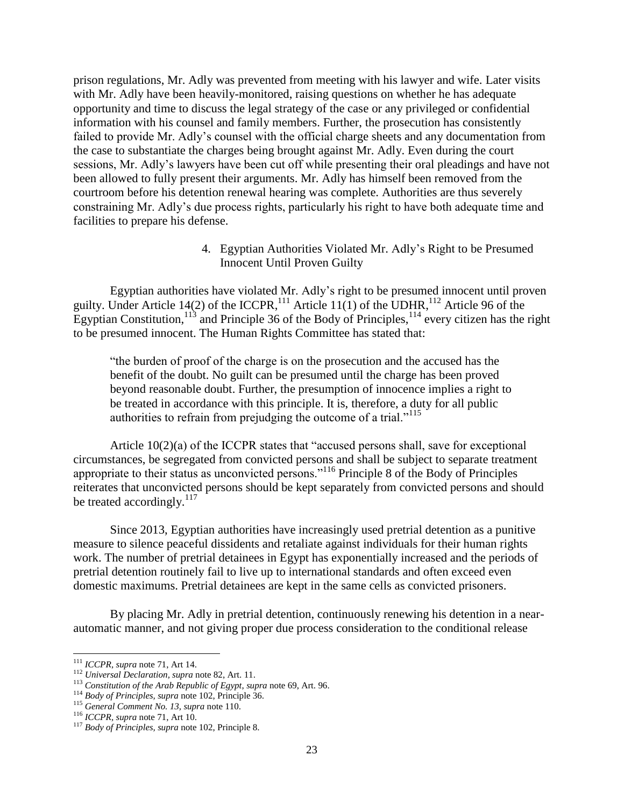prison regulations, Mr. Adly was prevented from meeting with his lawyer and wife. Later visits with Mr. Adly have been heavily-monitored, raising questions on whether he has adequate opportunity and time to discuss the legal strategy of the case or any privileged or confidential information with his counsel and family members. Further, the prosecution has consistently failed to provide Mr. Adly's counsel with the official charge sheets and any documentation from the case to substantiate the charges being brought against Mr. Adly. Even during the court sessions, Mr. Adly's lawyers have been cut off while presenting their oral pleadings and have not been allowed to fully present their arguments. Mr. Adly has himself been removed from the courtroom before his detention renewal hearing was complete. Authorities are thus severely constraining Mr. Adly's due process rights, particularly his right to have both adequate time and facilities to prepare his defense.

> 4. Egyptian Authorities Violated Mr. Adly's Right to be Presumed Innocent Until Proven Guilty

Egyptian authorities have violated Mr. Adly's right to be presumed innocent until proven guilty. Under Article 14(2) of the ICCPR,<sup>111</sup> Article 11(1) of the UDHR,<sup>112</sup> Article 96 of the Egyptian Constitution,  $^{113}$  and Principle 36 of the Body of Principles,  $^{114}$  every citizen has the right to be presumed innocent. The Human Rights Committee has stated that:

"the burden of proof of the charge is on the prosecution and the accused has the benefit of the doubt. No guilt can be presumed until the charge has been proved beyond reasonable doubt. Further, the presumption of innocence implies a right to be treated in accordance with this principle. It is, therefore, a duty for all public authorities to refrain from prejudging the outcome of a trial."<sup>115</sup>

Article 10(2)(a) of the ICCPR states that "accused persons shall, save for exceptional circumstances, be segregated from convicted persons and shall be subject to separate treatment appropriate to their status as unconvicted persons."<sup>116</sup> Principle 8 of the Body of Principles reiterates that unconvicted persons should be kept separately from convicted persons and should be treated accordingly. $^{117}$ 

Since 2013, Egyptian authorities have increasingly used pretrial detention as a punitive measure to silence peaceful dissidents and retaliate against individuals for their human rights work. The number of pretrial detainees in Egypt has exponentially increased and the periods of pretrial detention routinely fail to live up to international standards and often exceed even domestic maximums. Pretrial detainees are kept in the same cells as convicted prisoners.

By placing Mr. Adly in pretrial detention, continuously renewing his detention in a nearautomatic manner, and not giving proper due process consideration to the conditional release

<sup>111</sup> *ICCPR, supra* note 71, Art 14.

<sup>112</sup> *Universal Declaration, supra* note 82, Art. 11.

<sup>113</sup> *Constitution of the Arab Republic of Egypt*, *supra* note 69, Art. 96.

<sup>114</sup> *Body of Principles, supra* note 102, Principle 36.

<sup>115</sup> *General Comment No. 13, supra* note 110.

<sup>116</sup> *ICCPR, supra* note 71, Art 10.

<sup>117</sup> *Body of Principles, supra* note 102, Principle 8.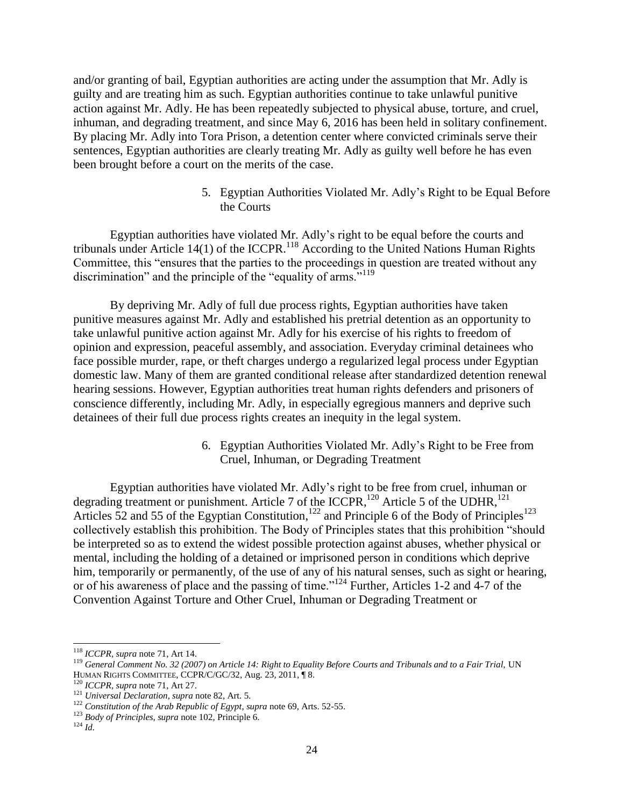and/or granting of bail, Egyptian authorities are acting under the assumption that Mr. Adly is guilty and are treating him as such. Egyptian authorities continue to take unlawful punitive action against Mr. Adly. He has been repeatedly subjected to physical abuse, torture, and cruel, inhuman, and degrading treatment, and since May 6, 2016 has been held in solitary confinement. By placing Mr. Adly into Tora Prison, a detention center where convicted criminals serve their sentences, Egyptian authorities are clearly treating Mr. Adly as guilty well before he has even been brought before a court on the merits of the case.

> 5. Egyptian Authorities Violated Mr. Adly's Right to be Equal Before the Courts

Egyptian authorities have violated Mr. Adly's right to be equal before the courts and tribunals under Article  $14(1)$  of the ICCPR.<sup>118</sup> According to the United Nations Human Rights Committee, this "ensures that the parties to the proceedings in question are treated without any discrimination" and the principle of the "equality of arms."<sup>119</sup>

By depriving Mr. Adly of full due process rights, Egyptian authorities have taken punitive measures against Mr. Adly and established his pretrial detention as an opportunity to take unlawful punitive action against Mr. Adly for his exercise of his rights to freedom of opinion and expression, peaceful assembly, and association. Everyday criminal detainees who face possible murder, rape, or theft charges undergo a regularized legal process under Egyptian domestic law. Many of them are granted conditional release after standardized detention renewal hearing sessions. However, Egyptian authorities treat human rights defenders and prisoners of conscience differently, including Mr. Adly, in especially egregious manners and deprive such detainees of their full due process rights creates an inequity in the legal system.

> 6. Egyptian Authorities Violated Mr. Adly's Right to be Free from Cruel, Inhuman, or Degrading Treatment

Egyptian authorities have violated Mr. Adly's right to be free from cruel, inhuman or degrading treatment or punishment. Article 7 of the ICCPR,  $^{120}$  Article 5 of the UDHR,  $^{121}$ Articles 52 and 55 of the Egyptian Constitution,<sup>122</sup> and Principle 6 of the Body of Principles<sup>123</sup> collectively establish this prohibition. The Body of Principles states that this prohibition "should be interpreted so as to extend the widest possible protection against abuses, whether physical or mental, including the holding of a detained or imprisoned person in conditions which deprive him, temporarily or permanently, of the use of any of his natural senses, such as sight or hearing, or of his awareness of place and the passing of time."<sup>124</sup> Further, Articles 1-2 and 4-7 of the Convention Against Torture and Other Cruel, Inhuman or Degrading Treatment or

<sup>118</sup> *ICCPR, supra* note 71, Art 14.

<sup>119</sup> *General Comment No. 32 (2007) on Article 14: Right to Equality Before Courts and Tribunals and to a Fair Trial,* UN HUMAN RIGHTS COMMITTEE, CCPR/C/GC/32, Aug. 23, 2011, ¶ 8.

<sup>120</sup> *ICCPR, supra* note 71, Art 27.

<sup>121</sup> *Universal Declaration, supra* note 82, Art. 5.

<sup>122</sup> *Constitution of the Arab Republic of Egypt*, *supra* note 69, Arts. 52-55.

<sup>123</sup> *Body of Principles, supra* note 102, Principle 6.

<sup>124</sup> *Id.*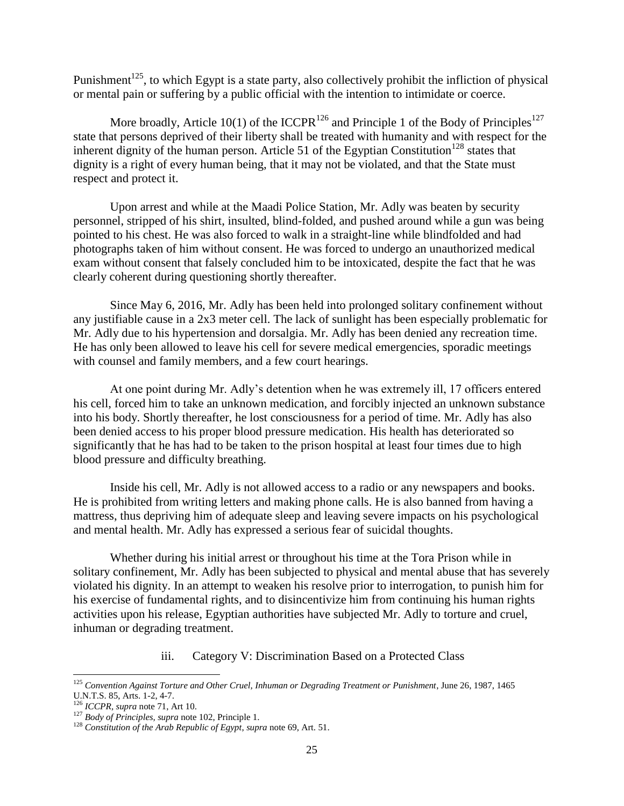Punishment<sup>125</sup>, to which Egypt is a state party, also collectively prohibit the infliction of physical or mental pain or suffering by a public official with the intention to intimidate or coerce.

More broadly, Article 10(1) of the ICCPR<sup>126</sup> and Principle 1 of the Body of Principles<sup>127</sup> state that persons deprived of their liberty shall be treated with humanity and with respect for the inherent dignity of the human person. Article 51 of the Egyptian Constitution<sup>128</sup> states that dignity is a right of every human being, that it may not be violated, and that the State must respect and protect it.

Upon arrest and while at the Maadi Police Station, Mr. Adly was beaten by security personnel, stripped of his shirt, insulted, blind-folded, and pushed around while a gun was being pointed to his chest. He was also forced to walk in a straight-line while blindfolded and had photographs taken of him without consent. He was forced to undergo an unauthorized medical exam without consent that falsely concluded him to be intoxicated, despite the fact that he was clearly coherent during questioning shortly thereafter.

Since May 6, 2016, Mr. Adly has been held into prolonged solitary confinement without any justifiable cause in a 2x3 meter cell. The lack of sunlight has been especially problematic for Mr. Adly due to his hypertension and dorsalgia. Mr. Adly has been denied any recreation time. He has only been allowed to leave his cell for severe medical emergencies, sporadic meetings with counsel and family members, and a few court hearings.

At one point during Mr. Adly's detention when he was extremely ill, 17 officers entered his cell, forced him to take an unknown medication, and forcibly injected an unknown substance into his body. Shortly thereafter, he lost consciousness for a period of time. Mr. Adly has also been denied access to his proper blood pressure medication. His health has deteriorated so significantly that he has had to be taken to the prison hospital at least four times due to high blood pressure and difficulty breathing.

Inside his cell, Mr. Adly is not allowed access to a radio or any newspapers and books. He is prohibited from writing letters and making phone calls. He is also banned from having a mattress, thus depriving him of adequate sleep and leaving severe impacts on his psychological and mental health. Mr. Adly has expressed a serious fear of suicidal thoughts.

Whether during his initial arrest or throughout his time at the Tora Prison while in solitary confinement, Mr. Adly has been subjected to physical and mental abuse that has severely violated his dignity. In an attempt to weaken his resolve prior to interrogation, to punish him for his exercise of fundamental rights, and to disincentivize him from continuing his human rights activities upon his release, Egyptian authorities have subjected Mr. Adly to torture and cruel, inhuman or degrading treatment.

### iii. Category V: Discrimination Based on a Protected Class

<sup>&</sup>lt;sup>125</sup> Convention Against Torture and Other Cruel, Inhuman or Degrading Treatment or Punishment, June 26, 1987, 1465 U.N.T.S. 85, Arts. 1-2, 4-7.

<sup>126</sup> *ICCPR, supra* note 71, Art 10.

<sup>127</sup> *Body of Principles, supra* note 102, Principle 1.

<sup>128</sup> *Constitution of the Arab Republic of Egypt*, *supra* note 69, Art. 51.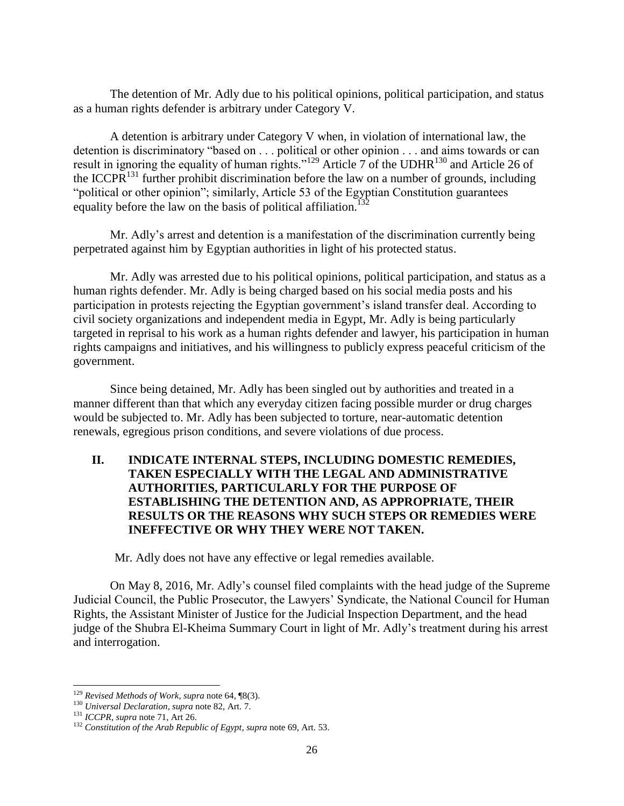The detention of Mr. Adly due to his political opinions, political participation, and status as a human rights defender is arbitrary under Category V.

A detention is arbitrary under Category V when, in violation of international law, the detention is discriminatory "based on . . . political or other opinion . . . and aims towards or can result in ignoring the equality of human rights."<sup>129</sup> Article 7 of the UDHR<sup>130</sup> and Article 26 of the ICCPR<sup>131</sup> further prohibit discrimination before the law on a number of grounds, including "political or other opinion"; similarly, Article 53 of the Egyptian Constitution guarantees equality before the law on the basis of political affiliation.<sup>1</sup>

Mr. Adly's arrest and detention is a manifestation of the discrimination currently being perpetrated against him by Egyptian authorities in light of his protected status.

Mr. Adly was arrested due to his political opinions, political participation, and status as a human rights defender. Mr. Adly is being charged based on his social media posts and his participation in protests rejecting the Egyptian government's island transfer deal. According to civil society organizations and independent media in Egypt, Mr. Adly is being particularly targeted in reprisal to his work as a human rights defender and lawyer, his participation in human rights campaigns and initiatives, and his willingness to publicly express peaceful criticism of the government.

Since being detained, Mr. Adly has been singled out by authorities and treated in a manner different than that which any everyday citizen facing possible murder or drug charges would be subjected to. Mr. Adly has been subjected to torture, near-automatic detention renewals, egregious prison conditions, and severe violations of due process.

# **II. INDICATE INTERNAL STEPS, INCLUDING DOMESTIC REMEDIES, TAKEN ESPECIALLY WITH THE LEGAL AND ADMINISTRATIVE AUTHORITIES, PARTICULARLY FOR THE PURPOSE OF ESTABLISHING THE DETENTION AND, AS APPROPRIATE, THEIR RESULTS OR THE REASONS WHY SUCH STEPS OR REMEDIES WERE INEFFECTIVE OR WHY THEY WERE NOT TAKEN.**

Mr. Adly does not have any effective or legal remedies available.

On May 8, 2016, Mr. Adly's counsel filed complaints with the head judge of the Supreme Judicial Council, the Public Prosecutor, the Lawyers' Syndicate, the National Council for Human Rights, the Assistant Minister of Justice for the Judicial Inspection Department, and the head judge of the Shubra El-Kheima Summary Court in light of Mr. Adly's treatment during his arrest and interrogation.

<sup>129</sup> *Revised Methods of Work*, *supra* note 64, ¶8(3).

<sup>130</sup> *Universal Declaration, supra* note 82, Art. 7.

<sup>131</sup> *ICCPR, supra* note 71, Art 26.

<sup>132</sup> *Constitution of the Arab Republic of Egypt*, *supra* note 69, Art. 53.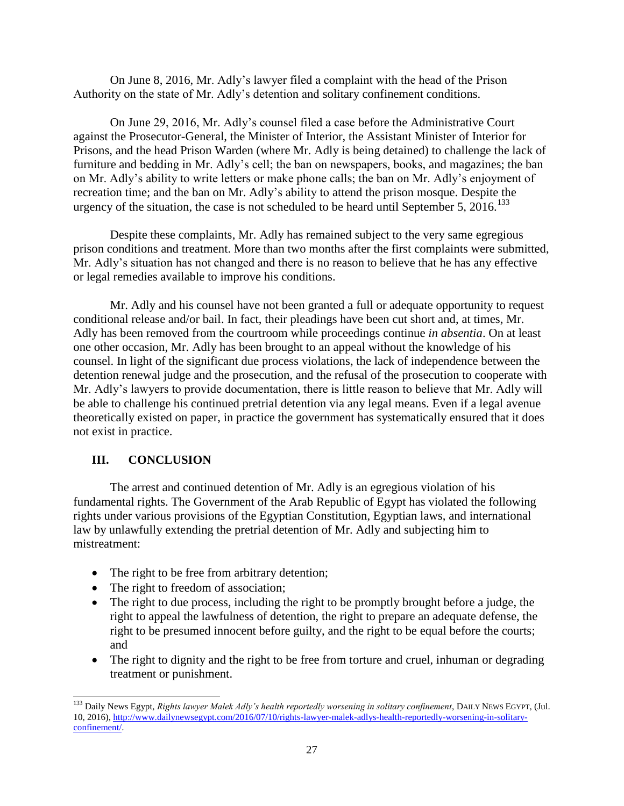On June 8, 2016, Mr. Adly's lawyer filed a complaint with the head of the Prison Authority on the state of Mr. Adly's detention and solitary confinement conditions.

On June 29, 2016, Mr. Adly's counsel filed a case before the Administrative Court against the Prosecutor-General, the Minister of Interior, the Assistant Minister of Interior for Prisons, and the head Prison Warden (where Mr. Adly is being detained) to challenge the lack of furniture and bedding in Mr. Adly's cell; the ban on newspapers, books, and magazines; the ban on Mr. Adly's ability to write letters or make phone calls; the ban on Mr. Adly's enjoyment of recreation time; and the ban on Mr. Adly's ability to attend the prison mosque. Despite the urgency of the situation, the case is not scheduled to be heard until September 5,  $2016$ <sup>133</sup>

Despite these complaints, Mr. Adly has remained subject to the very same egregious prison conditions and treatment. More than two months after the first complaints were submitted, Mr. Adly's situation has not changed and there is no reason to believe that he has any effective or legal remedies available to improve his conditions.

Mr. Adly and his counsel have not been granted a full or adequate opportunity to request conditional release and/or bail. In fact, their pleadings have been cut short and, at times, Mr. Adly has been removed from the courtroom while proceedings continue *in absentia*. On at least one other occasion, Mr. Adly has been brought to an appeal without the knowledge of his counsel. In light of the significant due process violations, the lack of independence between the detention renewal judge and the prosecution, and the refusal of the prosecution to cooperate with Mr. Adly's lawyers to provide documentation, there is little reason to believe that Mr. Adly will be able to challenge his continued pretrial detention via any legal means. Even if a legal avenue theoretically existed on paper, in practice the government has systematically ensured that it does not exist in practice.

# **III. CONCLUSION**

 $\overline{a}$ 

The arrest and continued detention of Mr. Adly is an egregious violation of his fundamental rights. The Government of the Arab Republic of Egypt has violated the following rights under various provisions of the Egyptian Constitution, Egyptian laws, and international law by unlawfully extending the pretrial detention of Mr. Adly and subjecting him to mistreatment:

- The right to be free from arbitrary detention;
- The right to freedom of association;
- The right to due process, including the right to be promptly brought before a judge, the right to appeal the lawfulness of detention, the right to prepare an adequate defense, the right to be presumed innocent before guilty, and the right to be equal before the courts; and
- The right to dignity and the right to be free from torture and cruel, inhuman or degrading treatment or punishment.

<sup>133</sup> Daily News Egypt, *Rights lawyer Malek Adly's health reportedly worsening in solitary confinement*, DAILY NEWS EGYPT, (Jul. 10, 2016), [http://www.dailynewsegypt.com/2016/07/10/rights-lawyer-malek-adlys-health-reportedly-worsening-in-solitary](http://www.dailynewsegypt.com/2016/07/10/rights-lawyer-malek-adlys-health-reportedly-worsening-in-solitary-confinement/)[confinement/.](http://www.dailynewsegypt.com/2016/07/10/rights-lawyer-malek-adlys-health-reportedly-worsening-in-solitary-confinement/)